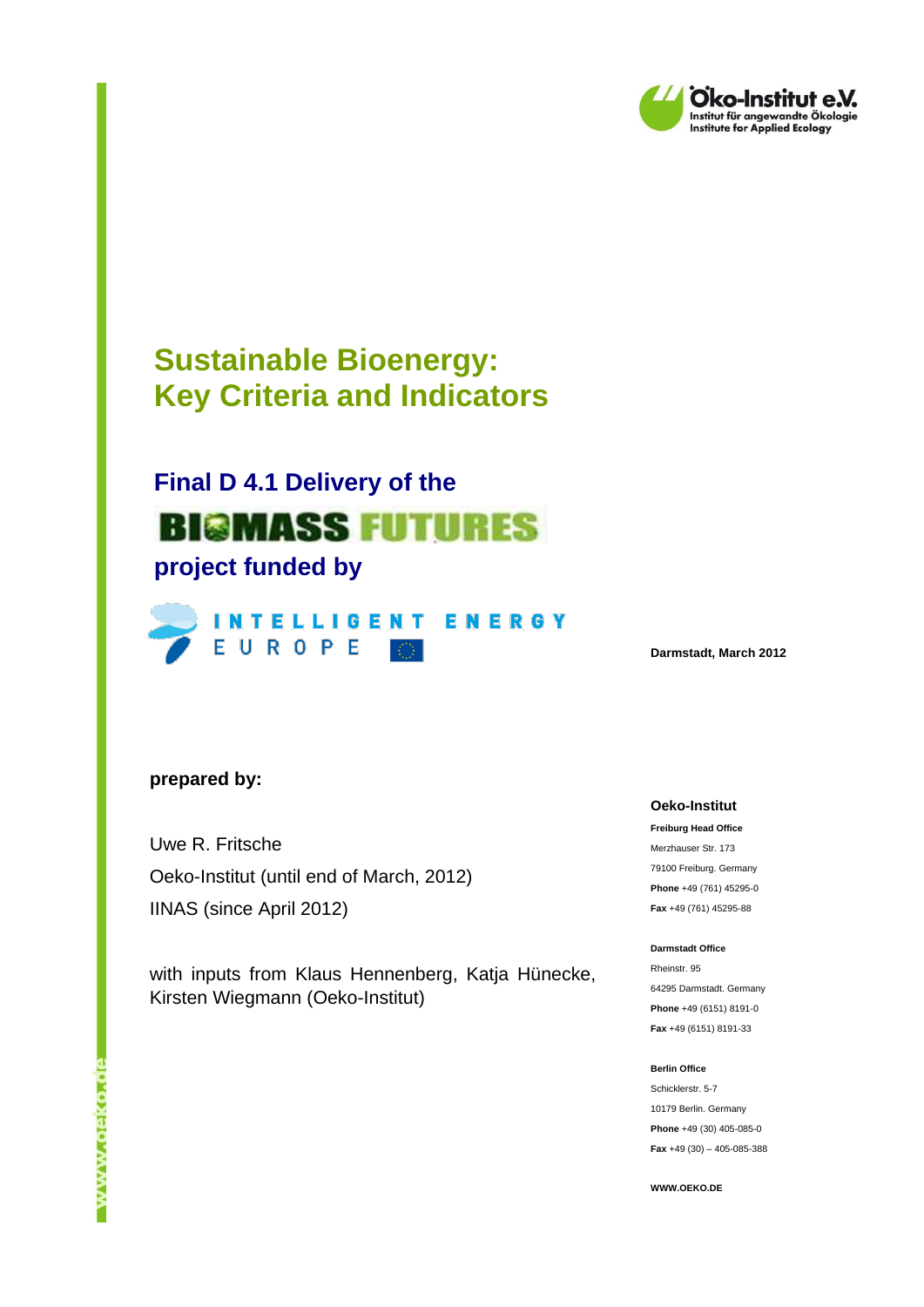

# **Sustainable Bioenergy: Key Criteria and Indicators**

# **Final D 4.1 Delivery of the**

# **BIGMASS FUTURES project funded by**



**Darmstadt, March 2012**

#### **prepared by:**

Uwe R. Fritsche Oeko-Institut (until end of March, 2012) IINAS (since April 2012)

with inputs from Klaus Hennenberg, Katja Hünecke, Kirsten Wiegmann (Oeko-Institut)

#### **Oeko-Institut**

**Freiburg Head Office** Merzhauser Str. 173 79100 Freiburg. Germany **Phone** +49 (761) 45295-0 **Fax** +49 (761) 45295-88

#### **Darmstadt Office**

Rheinstr. 95 64295 Darmstadt. Germany **Phone** +49 (6151) 8191-0 **Fax** +49 (6151) 8191-33

#### **Berlin Office**

Schicklerstr. 5-7 10179 Berlin. Germany **Phone** +49 (30) 405-085-0 **Fax** +49 (30) – 405-085-388

**WWW.OEKO.DE**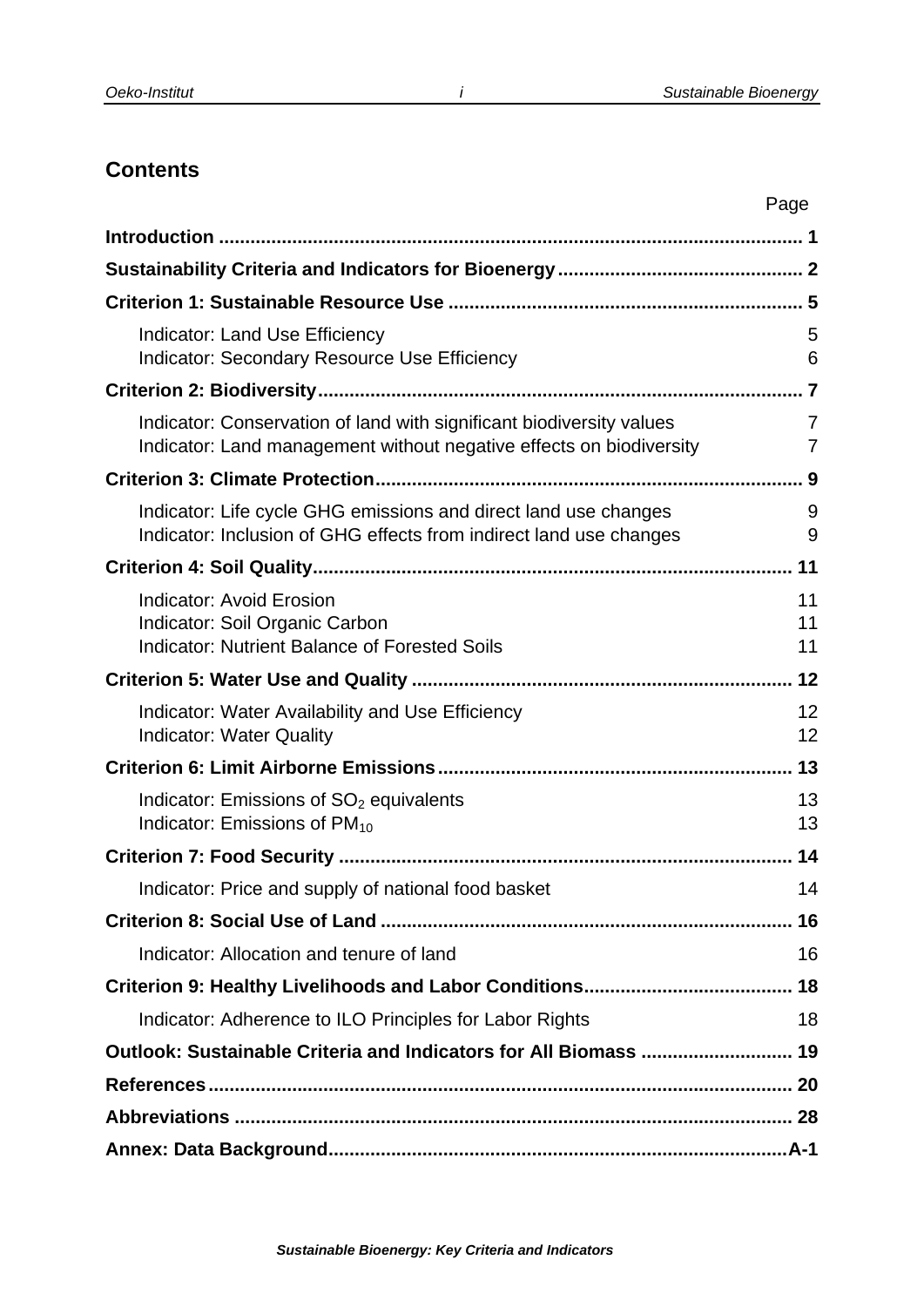# **Contents**

|                                                                                                                                             | Page           |
|---------------------------------------------------------------------------------------------------------------------------------------------|----------------|
|                                                                                                                                             |                |
|                                                                                                                                             |                |
|                                                                                                                                             |                |
| Indicator: Land Use Efficiency<br>Indicator: Secondary Resource Use Efficiency                                                              | 5<br>6         |
|                                                                                                                                             |                |
| Indicator: Conservation of land with significant biodiversity values<br>Indicator: Land management without negative effects on biodiversity | 7<br>7         |
|                                                                                                                                             |                |
| Indicator: Life cycle GHG emissions and direct land use changes<br>Indicator: Inclusion of GHG effects from indirect land use changes       | 9<br>9         |
|                                                                                                                                             |                |
| <b>Indicator: Avoid Erosion</b><br>Indicator: Soil Organic Carbon<br><b>Indicator: Nutrient Balance of Forested Soils</b>                   | 11<br>11<br>11 |
|                                                                                                                                             |                |
| Indicator: Water Availability and Use Efficiency<br><b>Indicator: Water Quality</b>                                                         | 12<br>12       |
|                                                                                                                                             |                |
| Indicator: Emissions of $SO2$ equivalents<br>Indicator: Emissions of PM <sub>10</sub>                                                       | 13<br>13       |
|                                                                                                                                             | 14             |
| Indicator: Price and supply of national food basket                                                                                         | 14             |
|                                                                                                                                             |                |
| Indicator: Allocation and tenure of land                                                                                                    | 16             |
|                                                                                                                                             |                |
| Indicator: Adherence to ILO Principles for Labor Rights                                                                                     | 18             |
| Outlook: Sustainable Criteria and Indicators for All Biomass  19                                                                            |                |
|                                                                                                                                             |                |
|                                                                                                                                             |                |
|                                                                                                                                             |                |

*i*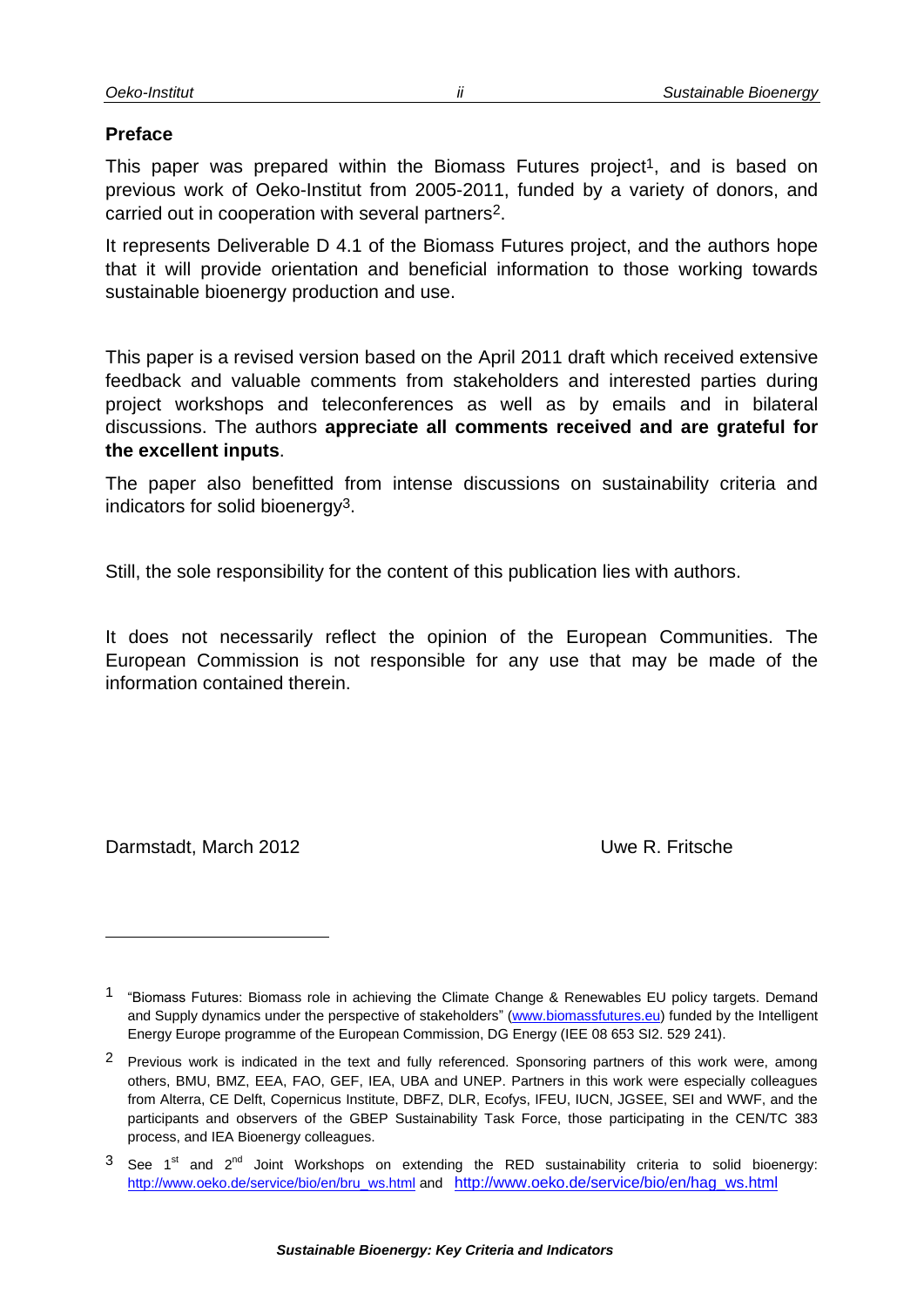#### **Preface**

This paper was prepared within the Biomass Futures project<sup>1</sup>, and is based on previous work of Oeko-Institut from 2005-2011, funded by a variety of donors, and carried out in cooperation with several partners2.

It represents Deliverable D 4.1 of the Biomass Futures project, and the authors hope that it will provide orientation and beneficial information to those working towards sustainable bioenergy production and use.

This paper is a revised version based on the April 2011 draft which received extensive feedback and valuable comments from stakeholders and interested parties during project workshops and teleconferences as well as by emails and in bilateral discussions. The authors **appreciate all comments received and are grateful for the excellent inputs**.

The paper also benefitted from intense discussions on sustainability criteria and indicators for solid bioenergy3.

Still, the sole responsibility for the content of this publication lies with authors.

It does not necessarily reflect the opinion of the European Communities. The European Commission is not responsible for any use that may be made of the information contained therein.

Darmstadt, March 2012 **Uwe R. Fritsche** 

l

*ii*

<sup>1</sup> "Biomass Futures: Biomass role in achieving the Climate Change & Renewables EU policy targets. Demand and Supply dynamics under the perspective of stakeholders" [\(www.biomassfutures.eu\)](http://www.biomassfutures.eu/) funded by the Intelligent Energy Europe programme of the European Commission, DG Energy (IEE 08 653 SI2. 529 241).

<sup>&</sup>lt;sup>2</sup> Previous work is indicated in the text and fully referenced. Sponsoring partners of this work were, among others, BMU, BMZ, EEA, FAO, GEF, IEA, UBA and UNEP. Partners in this work were especially colleagues from Alterra, CE Delft, Copernicus Institute, DBFZ, DLR, Ecofys, IFEU, IUCN, JGSEE, SEI and WWF, and the participants and observers of the GBEP Sustainability Task Force, those participating in the CEN/TC 383 process, and IEA Bioenergy colleagues.

 $3$  See 1<sup>st</sup> and 2<sup>nd</sup> Joint Workshops on extending the RED sustainability criteria to solid bioenergy: [http://www.oeko.de/service/bio/en/bru\\_ws.html](http://www.oeko.de/service/bio/en/bru_ws.html) and [http://www.oeko.de/service/bio/en/hag\\_ws.html](http://www.oeko.de/service/bio/en/hag_ws.html)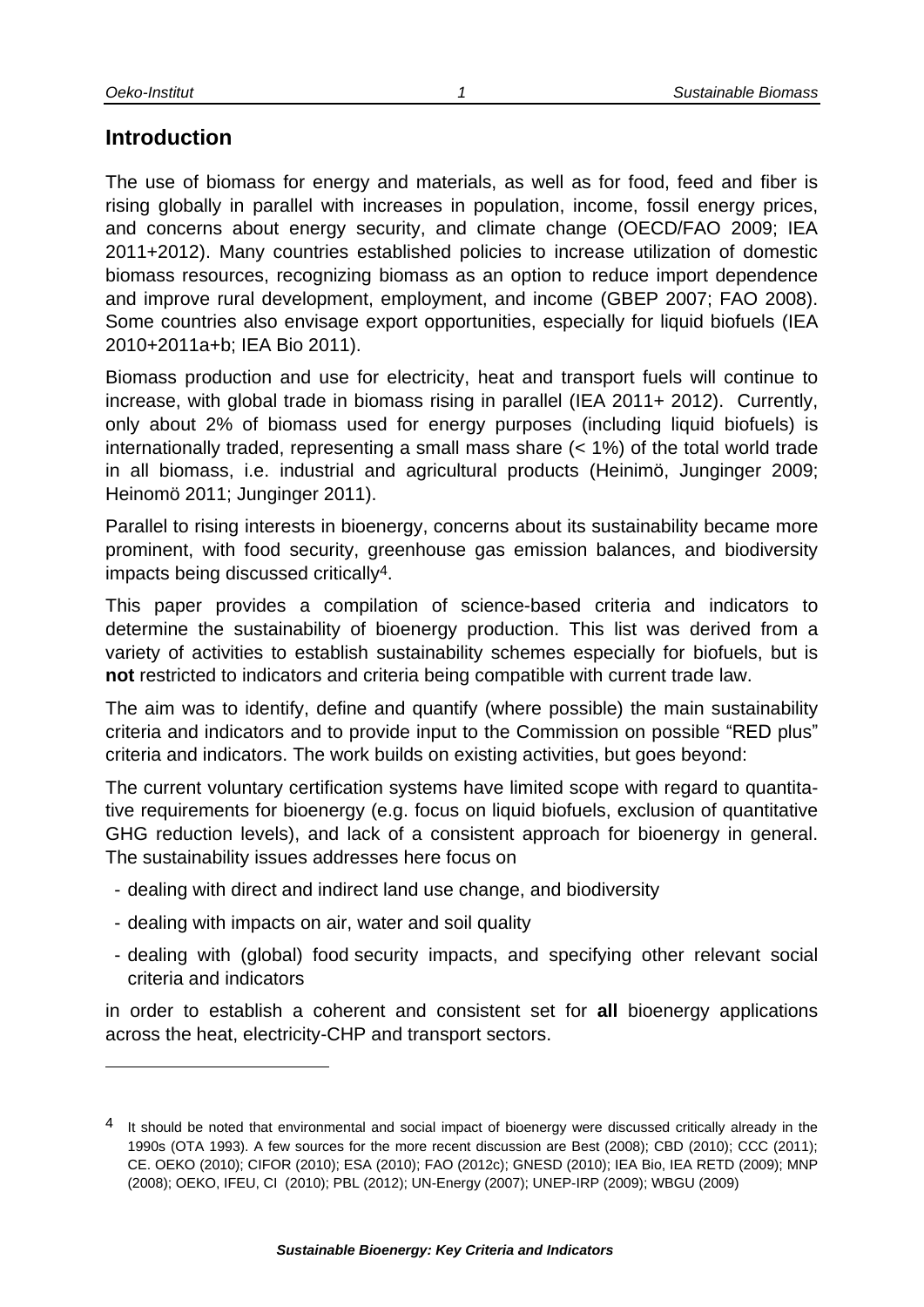### <span id="page-4-0"></span>**Introduction**

The use of biomass for energy and materials, as well as for food, feed and fiber is rising globally in parallel with increases in population, income, fossil energy prices, and concerns about energy security, and climate change (OECD/FAO 2009; IEA 2011+2012). Many countries established policies to increase utilization of domestic biomass resources, recognizing biomass as an option to reduce import dependence and improve rural development, employment, and income (GBEP 2007; FAO 2008). Some countries also envisage export opportunities, especially for liquid biofuels (IEA 2010+2011a+b; IEA Bio 2011).

Biomass production and use for electricity, heat and transport fuels will continue to increase, with global trade in biomass rising in parallel (IEA 2011+ 2012). Currently, only about 2% of biomass used for energy purposes (including liquid biofuels) is internationally traded, representing a small mass share (< 1%) of the total world trade in all biomass, i.e. industrial and agricultural products (Heinimö, Junginger 2009; Heinomö 2011; Junginger 2011).

Parallel to rising interests in bioenergy, concerns about its sustainability became more prominent, with food security, greenhouse gas emission balances, and biodiversity impacts being discussed critically4.

This paper provides a compilation of science-based criteria and indicators to determine the sustainability of bioenergy production. This list was derived from a variety of activities to establish sustainability schemes especially for biofuels, but is **not** restricted to indicators and criteria being compatible with current trade law.

The aim was to identify, define and quantify (where possible) the main sustainability criteria and indicators and to provide input to the Commission on possible "RED plus" criteria and indicators. The work builds on existing activities, but goes beyond:

The current voluntary certification systems have limited scope with regard to quantitative requirements for bioenergy (e.g. focus on liquid biofuels, exclusion of quantitative GHG reduction levels), and lack of a consistent approach for bioenergy in general. The sustainability issues addresses here focus on

- dealing with direct and indirect land use change, and biodiversity
- dealing with impacts on air, water and soil quality
- dealing with (global) food security impacts, and specifying other relevant social criteria and indicators

in order to establish a coherent and consistent set for **all** bioenergy applications across the heat, electricity-CHP and transport sectors.

*1*

<sup>&</sup>lt;sup>4</sup> It should be noted that environmental and social impact of bioenergy were discussed critically already in the 1990s (OTA 1993). A few sources for the more recent discussion are Best (2008); CBD (2010); CCC (2011); CE. OEKO (2010); CIFOR (2010); ESA (2010); FAO (2012c); GNESD (2010); IEA Bio, IEA RETD (2009); MNP (2008); OEKO, IFEU, CI (2010); PBL (2012); UN-Energy (2007); UNEP-IRP (2009); WBGU (2009)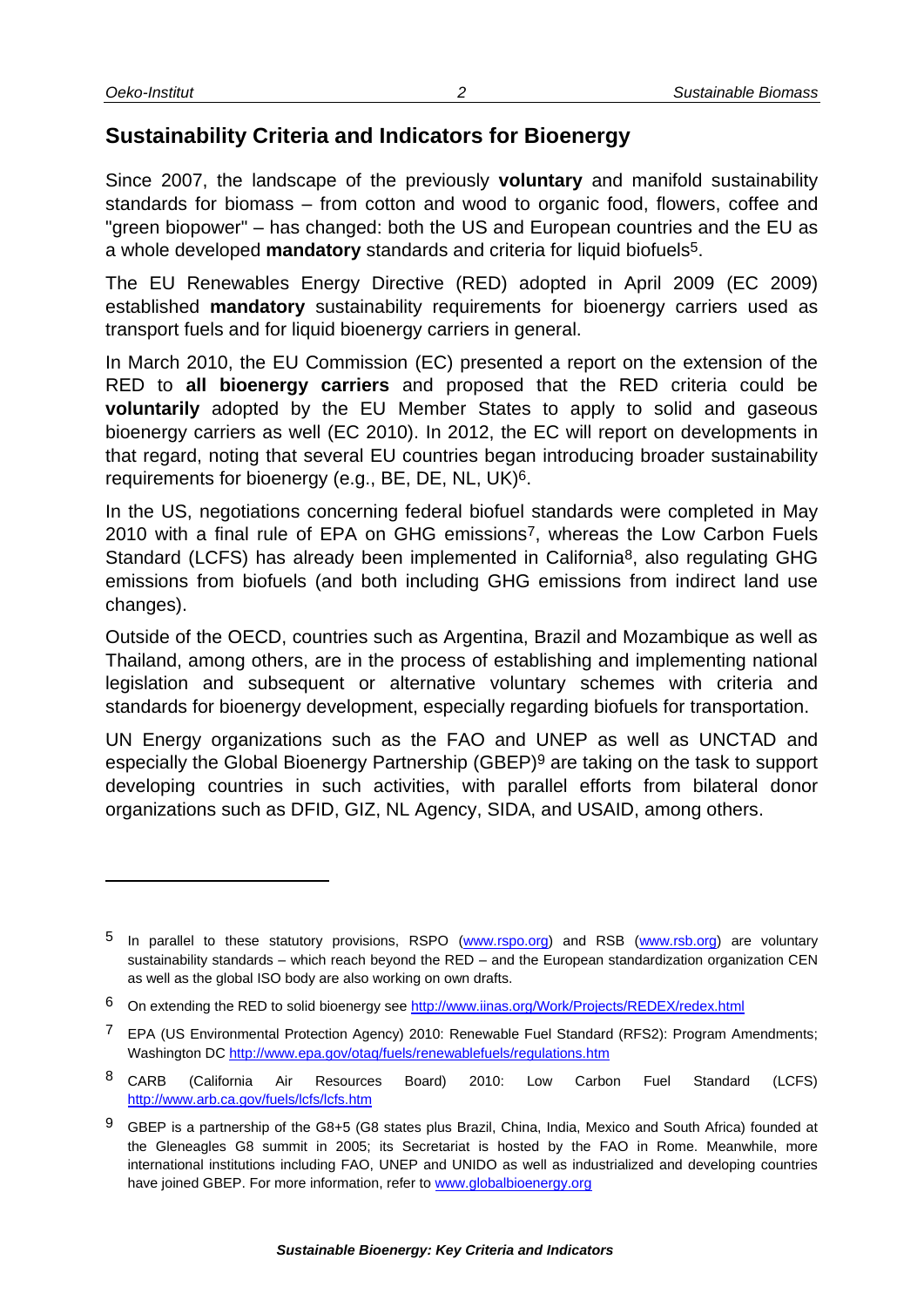# <span id="page-5-0"></span>**Sustainability Criteria and Indicators for Bioenergy**

Since 2007, the landscape of the previously **voluntary** and manifold sustainability standards for biomass – from cotton and wood to organic food, flowers, coffee and "green biopower" – has changed: both the US and European countries and the EU as a whole developed **mandatory** standards and criteria for liquid biofuels5.

The EU Renewables Energy Directive (RED) adopted in April 2009 (EC 2009) established **mandatory** sustainability requirements for bioenergy carriers used as transport fuels and for liquid bioenergy carriers in general.

In March 2010, the EU Commission (EC) presented a report on the extension of the RED to **all bioenergy carriers** and proposed that the RED criteria could be **voluntarily** adopted by the EU Member States to apply to solid and gaseous bioenergy carriers as well (EC 2010). In 2012, the EC will report on developments in that regard, noting that several EU countries began introducing broader sustainability requirements for bioenergy (e.g., BE, DE, NL, UK)6.

<span id="page-5-2"></span><span id="page-5-1"></span>In the US, negotiations concerning federal biofuel standards were completed in May 2010 with a final rule of EPA on GHG emissions7, whereas the Low Carbon Fuels Standard (LCFS) has already been implemented in California<sup>8</sup>, also regulating GHG emissions from biofuels (and both including GHG emissions from indirect land use changes).

Outside of the OECD, countries such as Argentina, Brazil and Mozambique as well as Thailand, among others, are in the process of establishing and implementing national legislation and subsequent or alternative voluntary schemes with criteria and standards for bioenergy development, especially regarding biofuels for transportation.

UN Energy organizations such as the FAO and UNEP as well as UNCTAD and especially the Global Bioenergy Partnership (GBEP)9 are taking on the task to support developing countries in such activities, with parallel efforts from bilateral donor organizations such as DFID, GIZ, NL Agency, SIDA, and USAID, among others.

<sup>&</sup>lt;sup>5</sup> In parallel to these statutory provisions, RSPO [\(www.rspo.org\)](http://www.rspo.org/) and RSB [\(www.rsb.org\)](http://www.rsb.org/) are voluntary sustainability standards – which reach beyond the RED – and the European standardization organization CEN as well as the global ISO body are also working on own drafts.

<sup>6</sup> On extending the RED to solid bioenergy see<http://www.iinas.org/Work/Projects/REDEX/redex.html>

<sup>7</sup> EPA (US Environmental Protection Agency) 2010: Renewable Fuel Standard (RFS2): Program Amendments; Washington DC<http://www.epa.gov/otaq/fuels/renewablefuels/regulations.htm>

<sup>&</sup>lt;sup>8</sup> CARB (California Air Resources Board) 2010: Low Carbon Fuel Standard (LCFS) <http://www.arb.ca.gov/fuels/lcfs/lcfs.htm>

<sup>9</sup> GBEP is a partnership of the G8+5 (G8 states plus Brazil, China, India, Mexico and South Africa) founded at the Gleneagles G8 summit in 2005; its Secretariat is hosted by the FAO in Rome. Meanwhile, more international institutions including FAO, UNEP and UNIDO as well as industrialized and developing countries have joined GBEP. For more information, refer to [www.globalbioenergy.org](http://www.globalbioenergy.org/)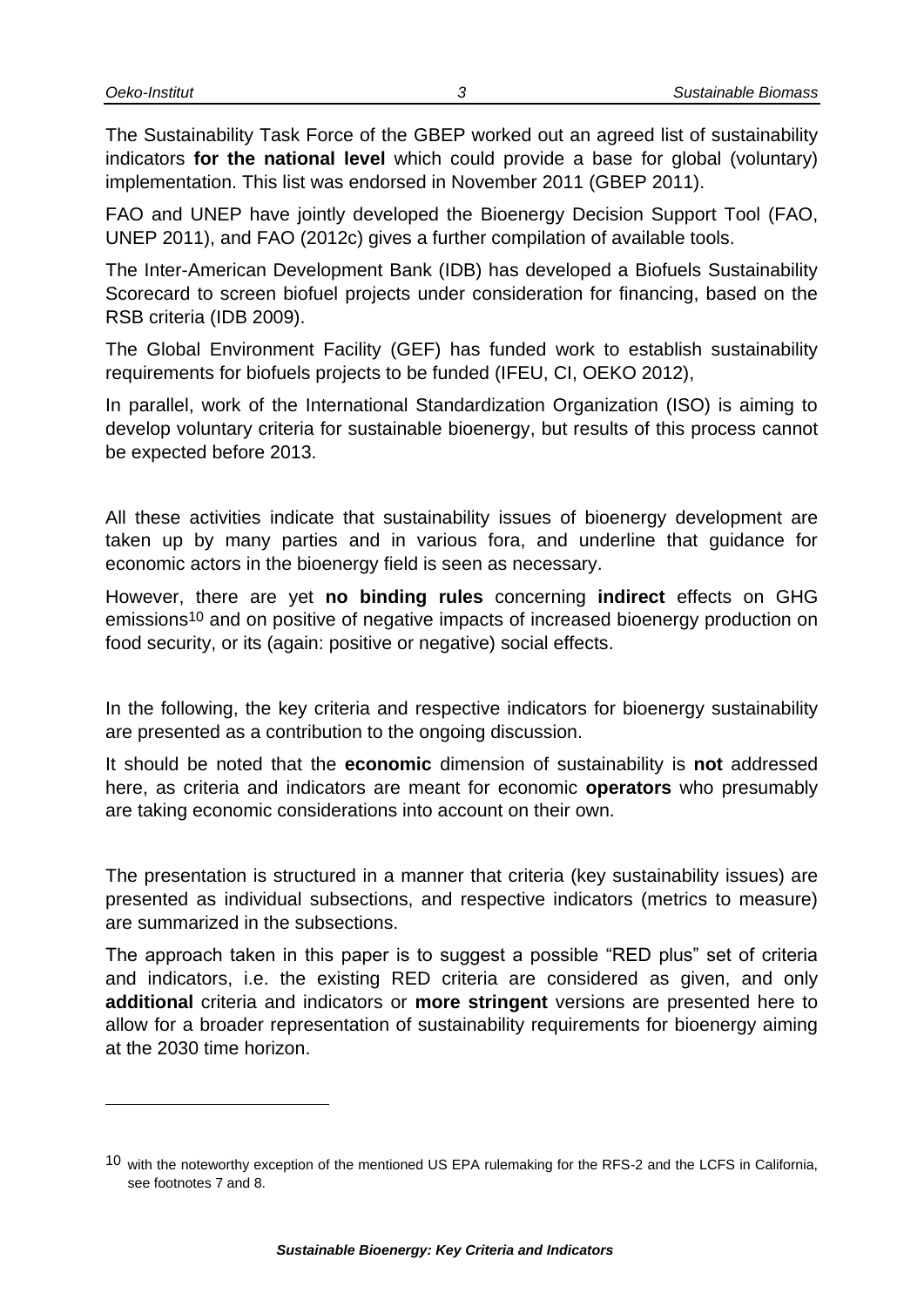The Sustainability Task Force of the GBEP worked out an agreed list of sustainability indicators **for the national level** which could provide a base for global (voluntary) implementation. This list was endorsed in November 2011 (GBEP 2011).

FAO and UNEP have jointly developed the Bioenergy Decision Support Tool (FAO, UNEP 2011), and FAO (2012c) gives a further compilation of available tools.

The Inter-American Development Bank (IDB) has developed a Biofuels Sustainability Scorecard to screen biofuel projects under consideration for financing, based on the RSB criteria (IDB 2009).

The Global Environment Facility (GEF) has funded work to establish sustainability requirements for biofuels projects to be funded (IFEU, CI, OEKO 2012),

In parallel, work of the International Standardization Organization (ISO) is aiming to develop voluntary criteria for sustainable bioenergy, but results of this process cannot be expected before 2013.

All these activities indicate that sustainability issues of bioenergy development are taken up by many parties and in various fora, and underline that guidance for economic actors in the bioenergy field is seen as necessary.

However, there are yet **no binding rules** concerning **indirect** effects on GHG emissions10 and on positive of negative impacts of increased bioenergy production on food security, or its (again: positive or negative) social effects.

In the following, the key criteria and respective indicators for bioenergy sustainability are presented as a contribution to the ongoing discussion.

It should be noted that the **economic** dimension of sustainability is **not** addressed here, as criteria and indicators are meant for economic **operators** who presumably are taking economic considerations into account on their own.

The presentation is structured in a manner that criteria (key sustainability issues) are presented as individual subsections, and respective indicators (metrics to measure) are summarized in the subsections.

The approach taken in this paper is to suggest a possible "RED plus" set of criteria and indicators, i.e. the existing RED criteria are considered as given, and only **additional** criteria and indicators or **more stringent** versions are presented here to allow for a broader representation of sustainability requirements for bioenergy aiming at the 2030 time horizon.

<sup>10</sup> with the noteworthy exception of the mentioned US EPA rulemaking for the RFS-2 and the LCFS in California, see footnotes [7](#page-5-1) and [8.](#page-5-2)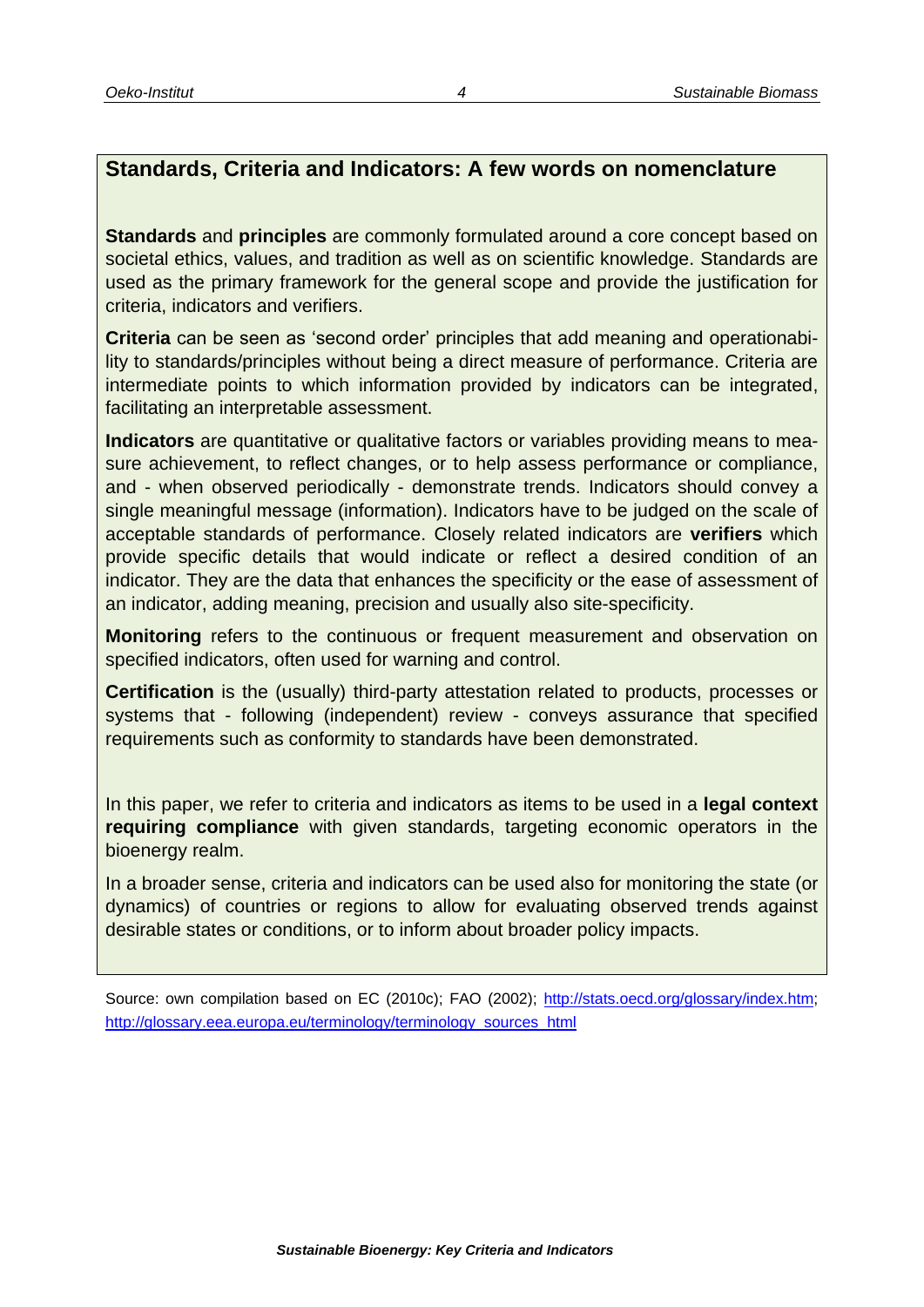### **Standards, Criteria and Indicators: A few words on nomenclature**

**Standards** and **principles** are commonly formulated around a core concept based on societal ethics, values, and tradition as well as on scientific knowledge. Standards are used as the primary framework for the general scope and provide the justification for criteria, indicators and verifiers.

**Criteria** can be seen as 'second order' principles that add meaning and operationability to standards/principles without being a direct measure of performance. Criteria are intermediate points to which information provided by indicators can be integrated, facilitating an interpretable assessment.

**Indicators** are quantitative or qualitative factors or variables providing means to measure achievement, to reflect changes, or to help assess performance or compliance, and - when observed periodically - demonstrate trends. Indicators should convey a single meaningful message (information). Indicators have to be judged on the scale of acceptable standards of performance. Closely related indicators are **verifiers** which provide specific details that would indicate or reflect a desired condition of an indicator. They are the data that enhances the specificity or the ease of assessment of an indicator, adding meaning, precision and usually also site-specificity.

**Monitoring** refers to the continuous or frequent measurement and observation on specified indicators, often used for warning and control.

**Certification** is the (usually) third-party attestation related to products, processes or systems that - following (independent) review - conveys assurance that specified requirements such as conformity to standards have been demonstrated.

In this paper, we refer to criteria and indicators as items to be used in a **legal context requiring compliance** with given standards, targeting economic operators in the bioenergy realm.

In a broader sense, criteria and indicators can be used also for monitoring the state (or dynamics) of countries or regions to allow for evaluating observed trends against desirable states or conditions, or to inform about broader policy impacts.

Source: own compilation based on EC (2010c); FAO (2002); [http://stats.oecd.org/glossary/index.htm;](http://stats.oecd.org/glossary/index.htm) [http://glossary.eea.europa.eu/terminology/terminology\\_sources\\_html](http://glossary.eea.europa.eu/terminology/terminology_sources_html)

*4*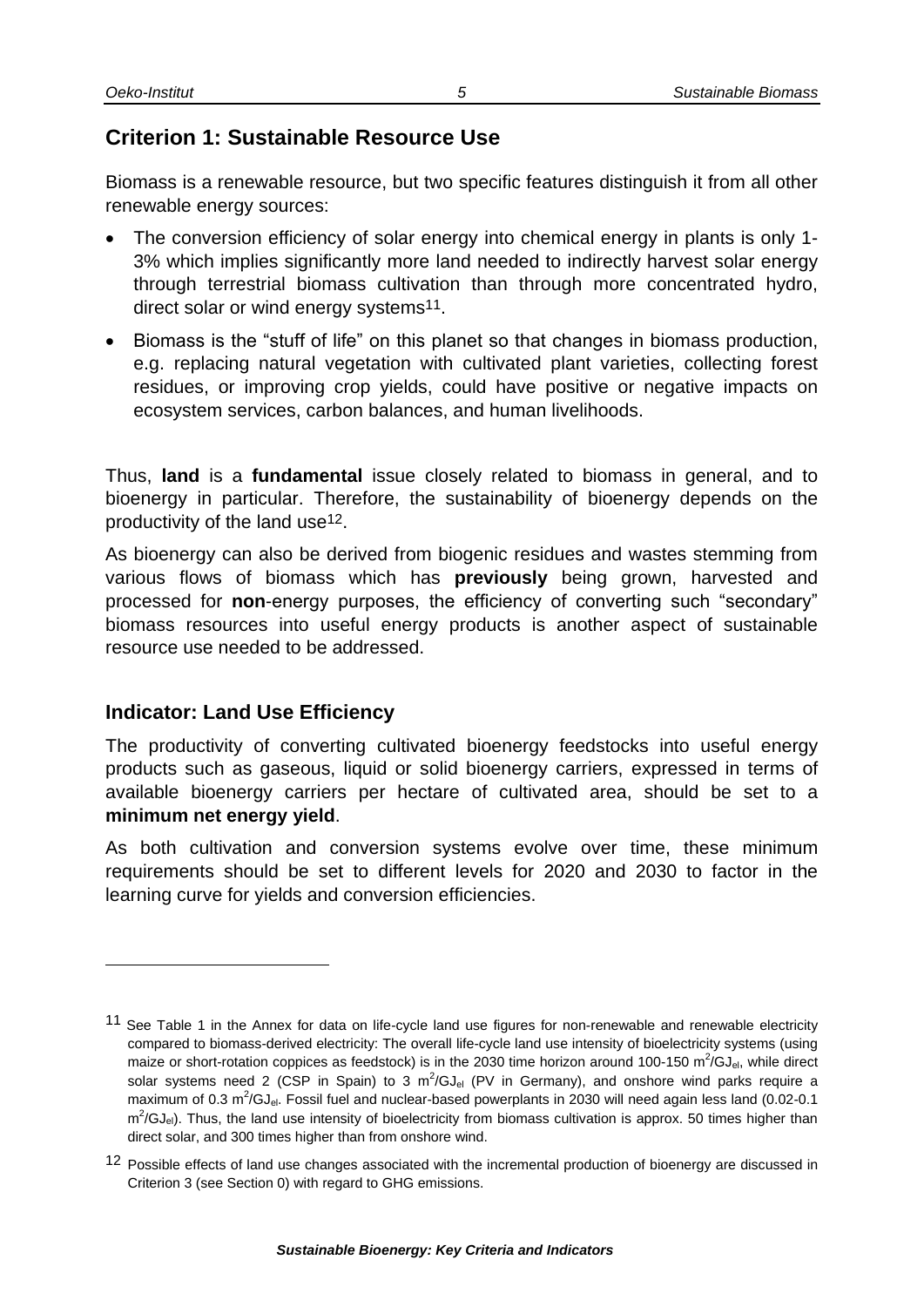# <span id="page-8-0"></span>**Criterion 1: Sustainable Resource Use**

Biomass is a renewable resource, but two specific features distinguish it from all other renewable energy sources:

- The conversion efficiency of solar energy into chemical energy in plants is only 1- 3% which implies significantly more land needed to indirectly harvest solar energy through terrestrial biomass cultivation than through more concentrated hydro, direct solar or wind energy systems<sup>11</sup>.
- Biomass is the "stuff of life" on this planet so that changes in biomass production, e.g. replacing natural vegetation with cultivated plant varieties, collecting forest residues, or improving crop yields, could have positive or negative impacts on ecosystem services, carbon balances, and human livelihoods.

Thus, **land** is a **fundamental** issue closely related to biomass in general, and to bioenergy in particular. Therefore, the sustainability of bioenergy depends on the productivity of the land use12.

As bioenergy can also be derived from biogenic residues and wastes stemming from various flows of biomass which has **previously** being grown, harvested and processed for **non**-energy purposes, the efficiency of converting such "secondary" biomass resources into useful energy products is another aspect of sustainable resource use needed to be addressed.

#### <span id="page-8-1"></span>**Indicator: Land Use Efficiency**

l

The productivity of converting cultivated bioenergy feedstocks into useful energy products such as gaseous, liquid or solid bioenergy carriers, expressed in terms of available bioenergy carriers per hectare of cultivated area, should be set to a **minimum net energy yield**.

As both cultivation and conversion systems evolve over time, these minimum requirements should be set to different levels for 2020 and 2030 to factor in the learning curve for yields and conversion efficiencies.

<sup>&</sup>lt;sup>11</sup> See Table 1 in the Annex for data on life-cycle land use figures for non-renewable and renewable electricity compared to biomass-derived electricity: The overall life-cycle land use intensity of bioelectricity systems (using maize or short-rotation coppices as feedstock) is in the 2030 time horizon around 100-150 m<sup>2</sup>/GJ<sub>el</sub>, while direct solar systems need 2 (CSP in Spain) to 3  $m^2/GJ_{el}$  (PV in Germany), and onshore wind parks require a maximum of 0.3 m<sup>2</sup>/GJ<sub>el</sub>. Fossil fuel and nuclear-based powerplants in 2030 will need again less land (0.02-0.1  $m^2/GJ_{el}$ ). Thus, the land use intensity of bioelectricity from biomass cultivation is approx. 50 times higher than direct solar, and 300 times higher than from onshore wind.

<sup>&</sup>lt;sup>12</sup> Possible effects of land use changes associated with the incremental production of bioenergy are discussed in Criterion 3 (see Section [0\)](#page-11-0) with regard to GHG emissions.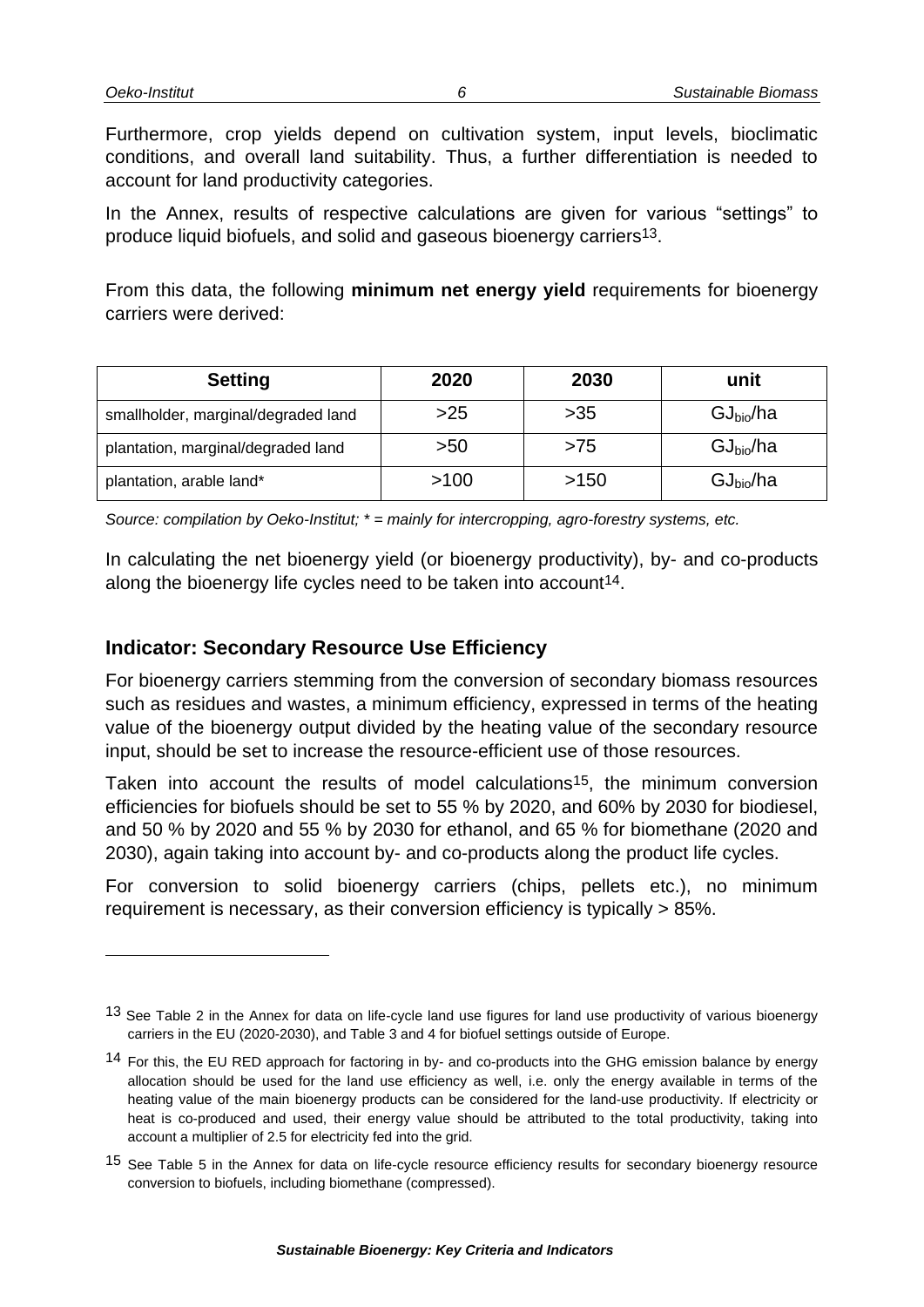Furthermore, crop yields depend on cultivation system, input levels, bioclimatic conditions, and overall land suitability. Thus, a further differentiation is needed to account for land productivity categories.

In the Annex, results of respective calculations are given for various "settings" to produce liquid biofuels, and solid and gaseous bioenergy carriers13.

From this data, the following **minimum net energy yield** requirements for bioenergy carriers were derived:

| <b>Setting</b>                      | 2020 | 2030  | unit                  |
|-------------------------------------|------|-------|-----------------------|
| smallholder, marginal/degraded land | >25  | $>35$ | GJ <sub>bio</sub> /ha |
| plantation, marginal/degraded land  | >50  | >75   | GJ <sub>bio</sub> /ha |
| plantation, arable land*            | >100 | >150  | GJ <sub>bio</sub> /ha |

*Source: compilation by Oeko-Institut; \* = mainly for intercropping, agro-forestry systems, etc.*

In calculating the net bioenergy yield (or bioenergy productivity), by- and co-products along the bioenergy life cycles need to be taken into account<sup>14</sup>.

#### <span id="page-9-0"></span>**Indicator: Secondary Resource Use Efficiency**

For bioenergy carriers stemming from the conversion of secondary biomass resources such as residues and wastes, a minimum efficiency, expressed in terms of the heating value of the bioenergy output divided by the heating value of the secondary resource input, should be set to increase the resource-efficient use of those resources.

Taken into account the results of model calculations<sup>15</sup>, the minimum conversion efficiencies for biofuels should be set to 55 % by 2020, and 60% by 2030 for biodiesel, and 50 % by 2020 and 55 % by 2030 for ethanol, and 65 % for biomethane (2020 and 2030), again taking into account by- and co-products along the product life cycles.

For conversion to solid bioenergy carriers (chips, pellets etc.), no minimum requirement is necessary, as their conversion efficiency is typically > 85%.

*6*

<sup>13</sup> See Table 2 in the Annex for data on life-cycle land use figures for land use productivity of various bioenergy carriers in the EU (2020-2030), and Table 3 and 4 for biofuel settings outside of Europe.

<sup>14</sup> For this, the EU RED approach for factoring in by- and co-products into the GHG emission balance by energy allocation should be used for the land use efficiency as well, i.e. only the energy available in terms of the heating value of the main bioenergy products can be considered for the land-use productivity. If electricity or heat is co-produced and used, their energy value should be attributed to the total productivity, taking into account a multiplier of 2.5 for electricity fed into the grid.

<sup>&</sup>lt;sup>15</sup> See Table 5 in the Annex for data on life-cycle resource efficiency results for secondary bioenergy resource conversion to biofuels, including biomethane (compressed).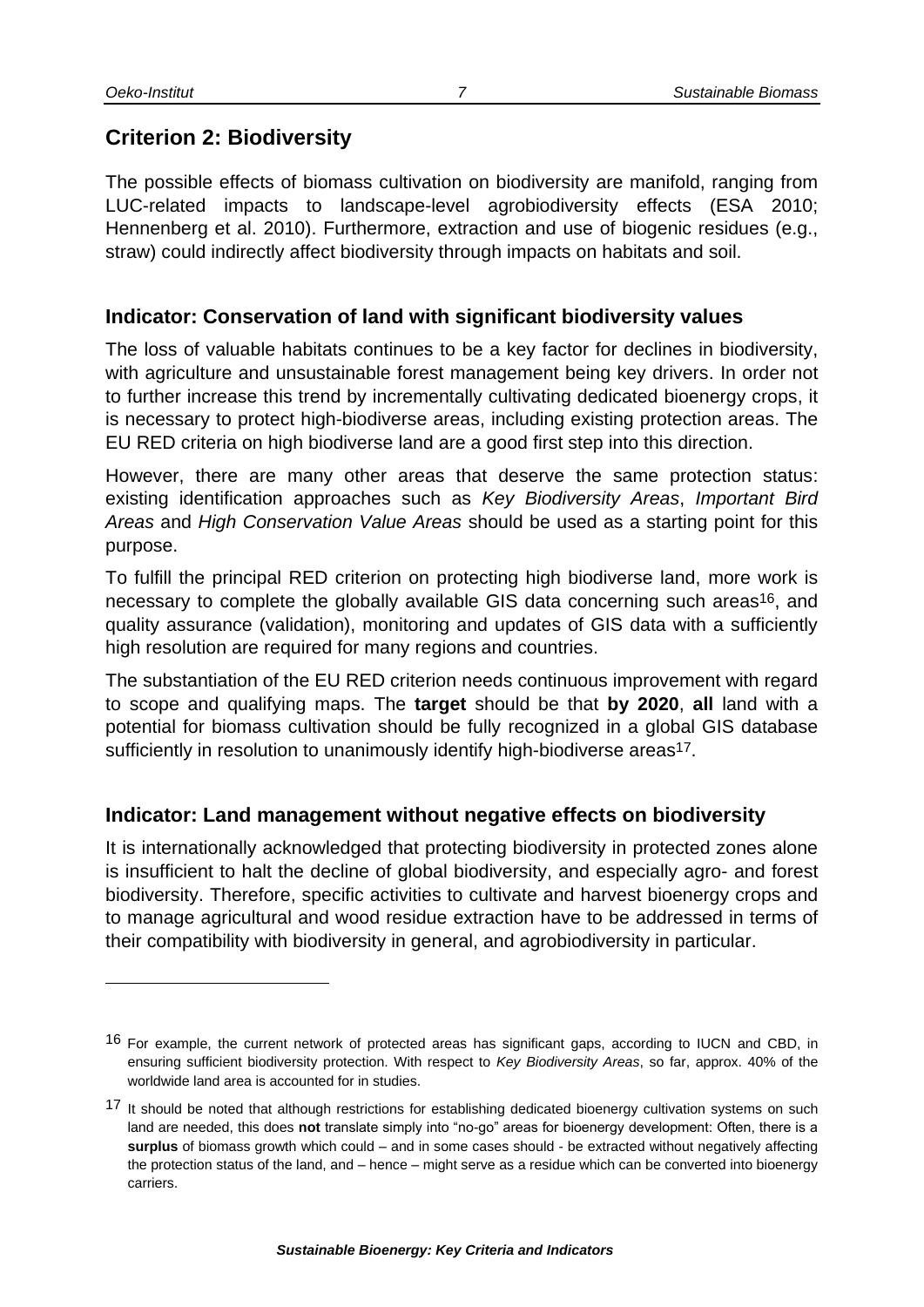# <span id="page-10-0"></span>**Criterion 2: Biodiversity**

The possible effects of biomass cultivation on biodiversity are manifold, ranging from LUC-related impacts to landscape-level agrobiodiversity effects (ESA 2010; Hennenberg et al. 2010). Furthermore, extraction and use of biogenic residues (e.g., straw) could indirectly affect biodiversity through impacts on habitats and soil.

#### <span id="page-10-1"></span>**Indicator: Conservation of land with significant biodiversity values**

The loss of valuable habitats continues to be a key factor for declines in biodiversity, with agriculture and unsustainable forest management being key drivers. In order not to further increase this trend by incrementally cultivating dedicated bioenergy crops, it is necessary to protect high-biodiverse areas, including existing protection areas. The EU RED criteria on high biodiverse land are a good first step into this direction.

However, there are many other areas that deserve the same protection status: existing identification approaches such as *Key Biodiversity Areas*, *Important Bird Areas* and *High Conservation Value Areas* should be used as a starting point for this purpose.

To fulfill the principal RED criterion on protecting high biodiverse land, more work is necessary to complete the globally available GIS data concerning such areas<sup>16</sup>, and quality assurance (validation), monitoring and updates of GIS data with a sufficiently high resolution are required for many regions and countries.

The substantiation of the EU RED criterion needs continuous improvement with regard to scope and qualifying maps. The **target** should be that **by 2020**, **all** land with a potential for biomass cultivation should be fully recognized in a global GIS database sufficiently in resolution to unanimously identify high-biodiverse areas<sup>17</sup>.

#### <span id="page-10-2"></span>**Indicator: Land management without negative effects on biodiversity**

It is internationally acknowledged that protecting biodiversity in protected zones alone is insufficient to halt the decline of global biodiversity, and especially agro- and forest biodiversity. Therefore, specific activities to cultivate and harvest bioenergy crops and to manage agricultural and wood residue extraction have to be addressed in terms of their compatibility with biodiversity in general, and agrobiodiversity in particular.

<sup>&</sup>lt;sup>16</sup> For example, the current network of protected areas has significant gaps, according to IUCN and CBD, in ensuring sufficient biodiversity protection. With respect to *Key Biodiversity Areas*, so far, approx. 40% of the worldwide land area is accounted for in studies.

<sup>&</sup>lt;sup>17</sup> It should be noted that although restrictions for establishing dedicated bioenergy cultivation systems on such land are needed, this does **not** translate simply into "no-go" areas for bioenergy development: Often, there is a **surplus** of biomass growth which could – and in some cases should - be extracted without negatively affecting the protection status of the land, and – hence – might serve as a residue which can be converted into bioenergy carriers.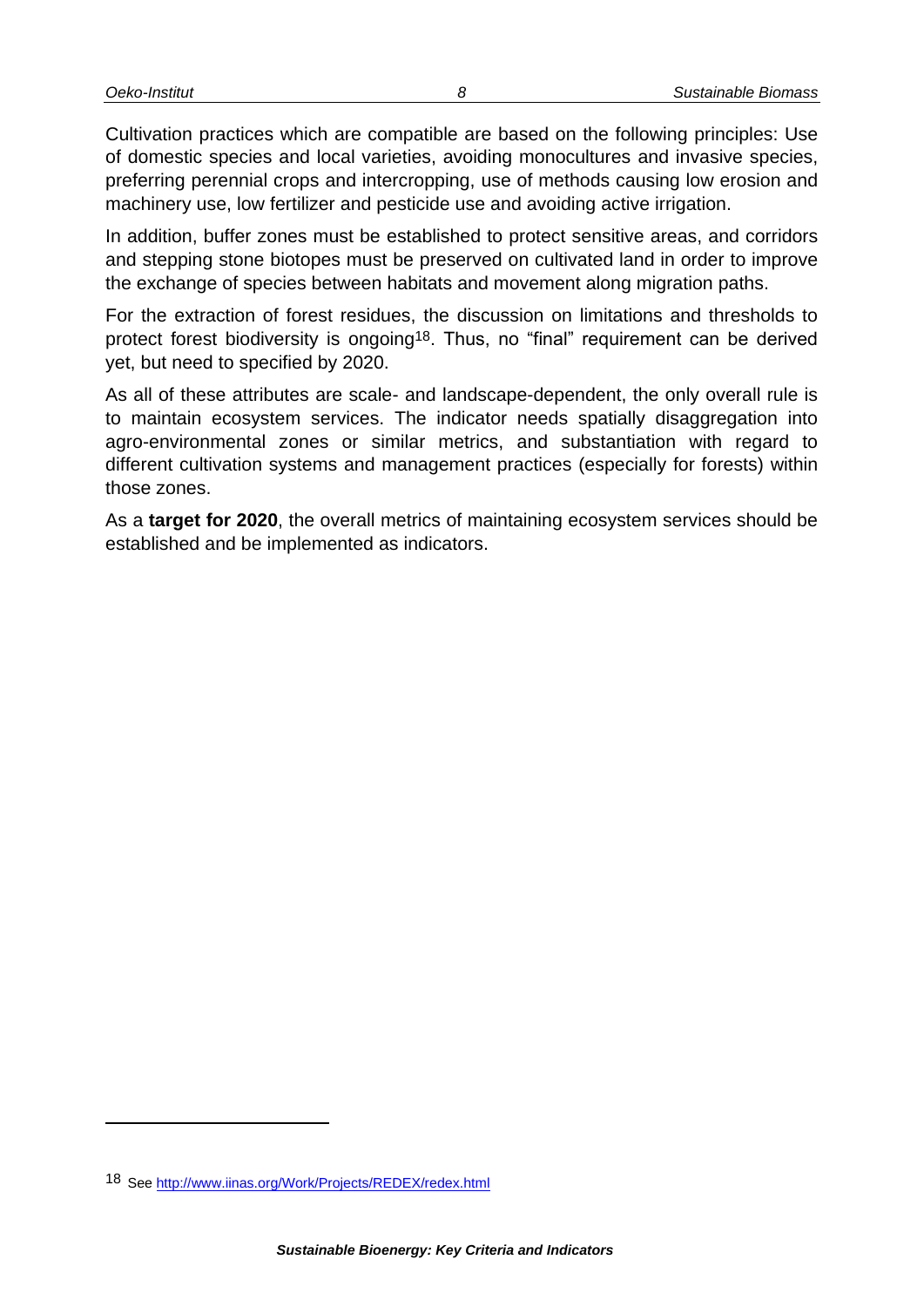Cultivation practices which are compatible are based on the following principles: Use of domestic species and local varieties, avoiding monocultures and invasive species, preferring perennial crops and intercropping, use of methods causing low erosion and machinery use, low fertilizer and pesticide use and avoiding active irrigation.

In addition, buffer zones must be established to protect sensitive areas, and corridors and stepping stone biotopes must be preserved on cultivated land in order to improve the exchange of species between habitats and movement along migration paths.

For the extraction of forest residues, the discussion on limitations and thresholds to protect forest biodiversity is ongoing18. Thus, no "final" requirement can be derived yet, but need to specified by 2020.

As all of these attributes are scale- and landscape-dependent, the only overall rule is to maintain ecosystem services. The indicator needs spatially disaggregation into agro-environmental zones or similar metrics, and substantiation with regard to different cultivation systems and management practices (especially for forests) within those zones.

<span id="page-11-0"></span>As a **target for 2020**, the overall metrics of maintaining ecosystem services should be established and be implemented as indicators.

l

<sup>18</sup> See<http://www.iinas.org/Work/Projects/REDEX/redex.html>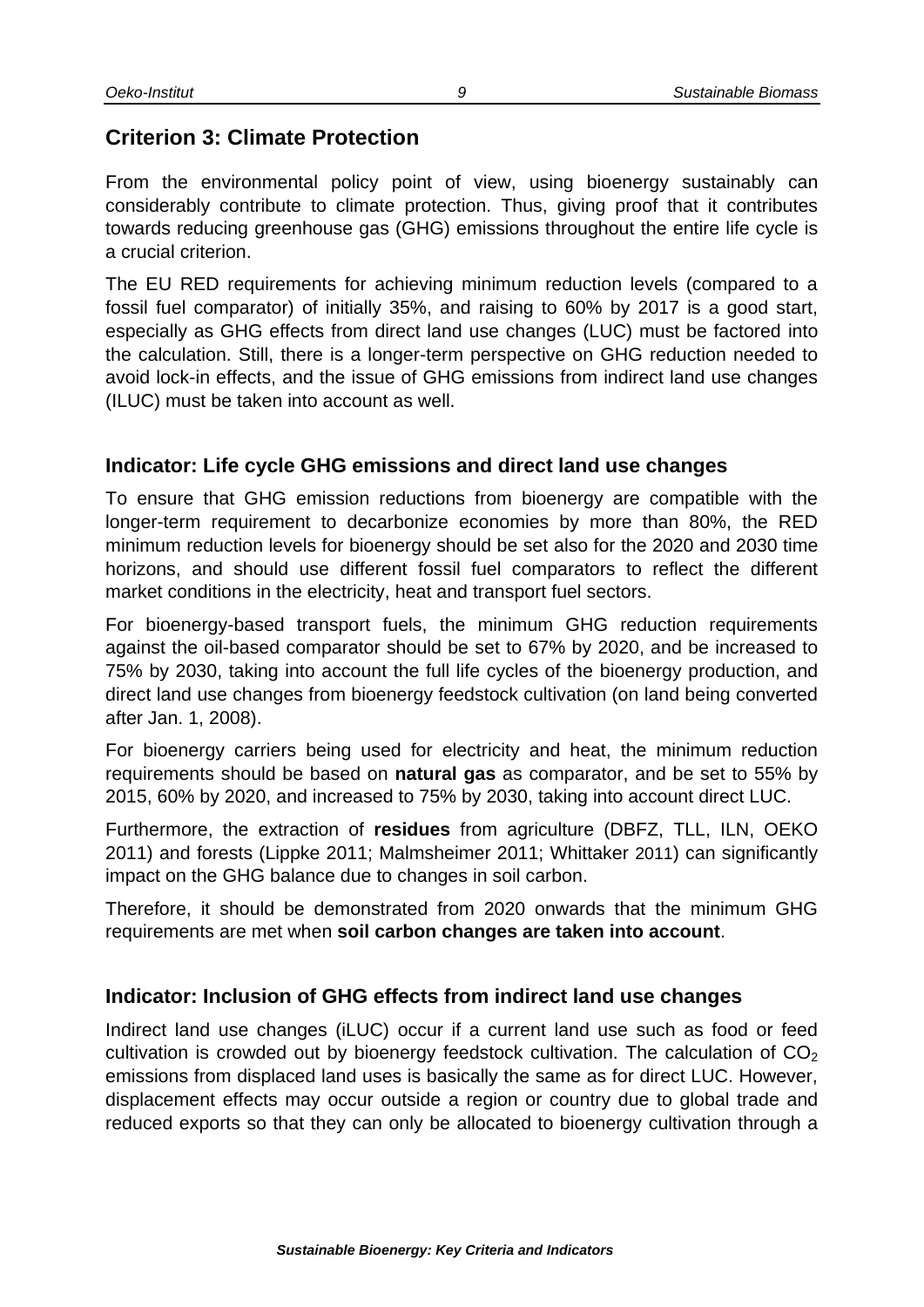# <span id="page-12-0"></span>**Criterion 3: Climate Protection**

From the environmental policy point of view, using bioenergy sustainably can considerably contribute to climate protection. Thus, giving proof that it contributes towards reducing greenhouse gas (GHG) emissions throughout the entire life cycle is a crucial criterion.

The EU RED requirements for achieving minimum reduction levels (compared to a fossil fuel comparator) of initially 35%, and raising to 60% by 2017 is a good start, especially as GHG effects from direct land use changes (LUC) must be factored into the calculation. Still, there is a longer-term perspective on GHG reduction needed to avoid lock-in effects, and the issue of GHG emissions from indirect land use changes (ILUC) must be taken into account as well.

#### <span id="page-12-1"></span>**Indicator: Life cycle GHG emissions and direct land use changes**

To ensure that GHG emission reductions from bioenergy are compatible with the longer-term requirement to decarbonize economies by more than 80%, the RED minimum reduction levels for bioenergy should be set also for the 2020 and 2030 time horizons, and should use different fossil fuel comparators to reflect the different market conditions in the electricity, heat and transport fuel sectors.

For bioenergy-based transport fuels, the minimum GHG reduction requirements against the oil-based comparator should be set to 67% by 2020, and be increased to 75% by 2030, taking into account the full life cycles of the bioenergy production, and direct land use changes from bioenergy feedstock cultivation (on land being converted after Jan. 1, 2008).

For bioenergy carriers being used for electricity and heat, the minimum reduction requirements should be based on **natural gas** as comparator, and be set to 55% by 2015, 60% by 2020, and increased to 75% by 2030, taking into account direct LUC.

Furthermore, the extraction of **residues** from agriculture (DBFZ, TLL, ILN, OEKO 2011) and forests (Lippke 2011; Malmsheimer 2011; Whittaker 2011) can significantly impact on the GHG balance due to changes in soil carbon.

Therefore, it should be demonstrated from 2020 onwards that the minimum GHG requirements are met when **soil carbon changes are taken into account**.

#### <span id="page-12-2"></span>**Indicator: Inclusion of GHG effects from indirect land use changes**

Indirect land use changes (iLUC) occur if a current land use such as food or feed cultivation is crowded out by bioenergy feedstock cultivation. The calculation of  $CO<sub>2</sub>$ emissions from displaced land uses is basically the same as for direct LUC. However, displacement effects may occur outside a region or country due to global trade and reduced exports so that they can only be allocated to bioenergy cultivation through a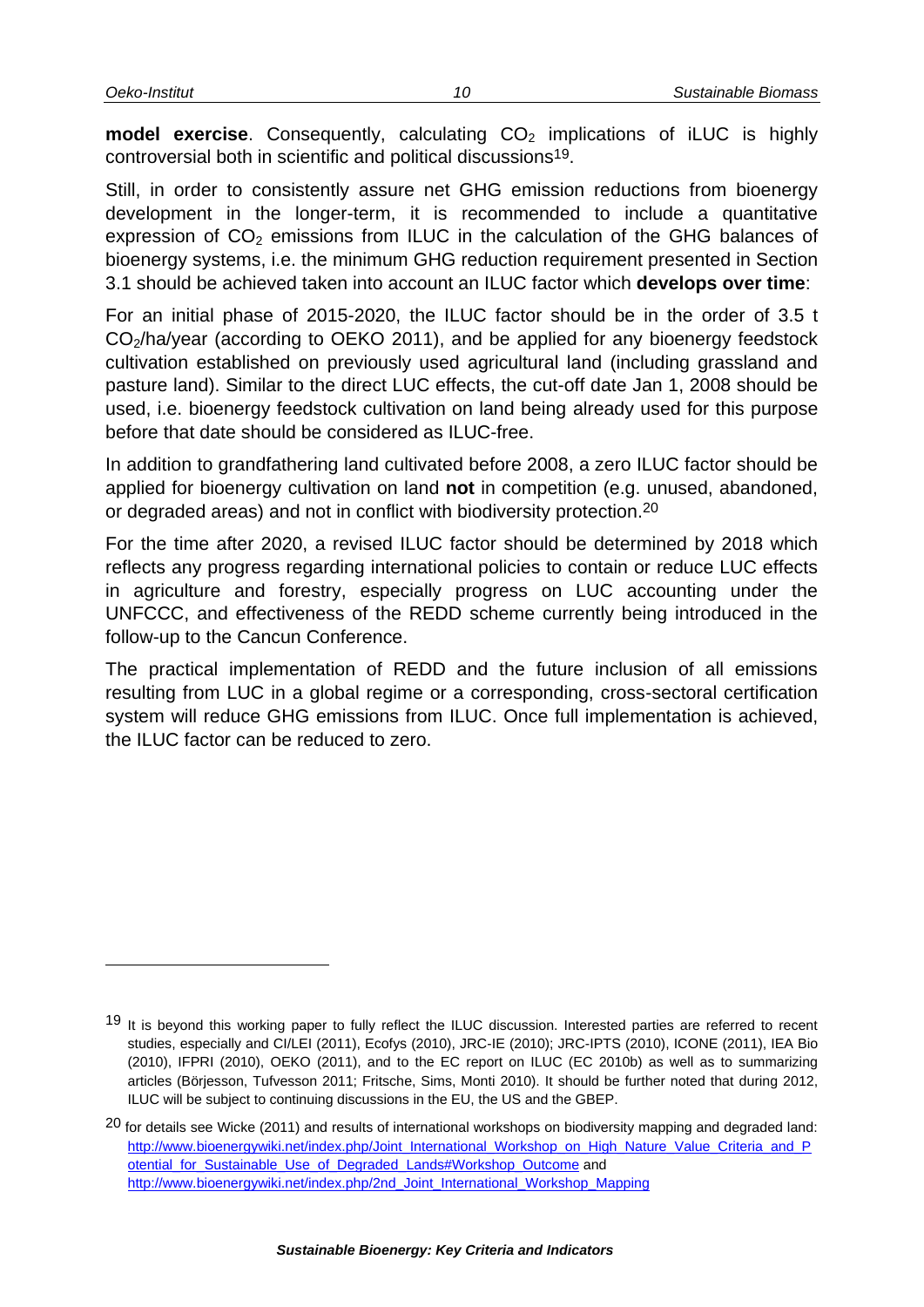**model exercise**. Consequently, calculating CO<sub>2</sub> implications of iLUC is highly controversial both in scientific and political discussions19.

Still, in order to consistently assure net GHG emission reductions from bioenergy development in the longer-term, it is recommended to include a quantitative expression of  $CO<sub>2</sub>$  emissions from ILUC in the calculation of the GHG balances of bioenergy systems, i.e. the minimum GHG reduction requirement presented in Section [3.1](#page-12-1) should be achieved taken into account an ILUC factor which **develops over time**:

For an initial phase of 2015-2020, the ILUC factor should be in the order of 3.5 t CO<sub>2</sub>/ha/year (according to OEKO 2011), and be applied for any bioenergy feedstock cultivation established on previously used agricultural land (including grassland and pasture land). Similar to the direct LUC effects, the cut-off date Jan 1, 2008 should be used, i.e. bioenergy feedstock cultivation on land being already used for this purpose before that date should be considered as ILUC-free.

In addition to grandfathering land cultivated before 2008, a zero ILUC factor should be applied for bioenergy cultivation on land **not** in competition (e.g. unused, abandoned, or degraded areas) and not in conflict with biodiversity protection.<sup>20</sup>

For the time after 2020, a revised ILUC factor should be determined by 2018 which reflects any progress regarding international policies to contain or reduce LUC effects in agriculture and forestry, especially progress on LUC accounting under the UNFCCC, and effectiveness of the REDD scheme currently being introduced in the follow-up to the Cancun Conference.

The practical implementation of REDD and the future inclusion of all emissions resulting from LUC in a global regime or a corresponding, cross-sectoral certification system will reduce GHG emissions from ILUC. Once full implementation is achieved, the ILUC factor can be reduced to zero.

<sup>&</sup>lt;sup>19</sup> It is beyond this working paper to fully reflect the ILUC discussion. Interested parties are referred to recent studies, especially and CI/LEI (2011), Ecofys (2010), JRC-IE (2010); JRC-IPTS (2010), ICONE (2011), IEA Bio (2010), IFPRI (2010), OEKO (2011), and to the EC report on ILUC (EC 2010b) as well as to summarizing articles (Börjesson, Tufvesson 2011; Fritsche, Sims, Monti 2010). It should be further noted that during 2012, ILUC will be subject to continuing discussions in the EU, the US and the GBEP.

 $20$  for details see Wicke (2011) and results of international workshops on biodiversity mapping and degraded land: [http://www.bioenergywiki.net/index.php/Joint\\_International\\_Workshop\\_on\\_High\\_Nature\\_Value\\_Criteria\\_and\\_P](http://www.bioenergywiki.net/index.php/Joint_International_Workshop_on_High_Nature_Value_Criteria_and_Potential_for_Sustainable_Use_of_Degraded_Lands#Workshop_Outcome) otential for Sustainable Use of Degraded Lands#Workshop Outcome and [http://www.bioenergywiki.net/index.php/2nd\\_Joint\\_International\\_Workshop\\_Mapping](http://www.bioenergywiki.net/index.php/2nd_Joint_International_Workshop_Mapping)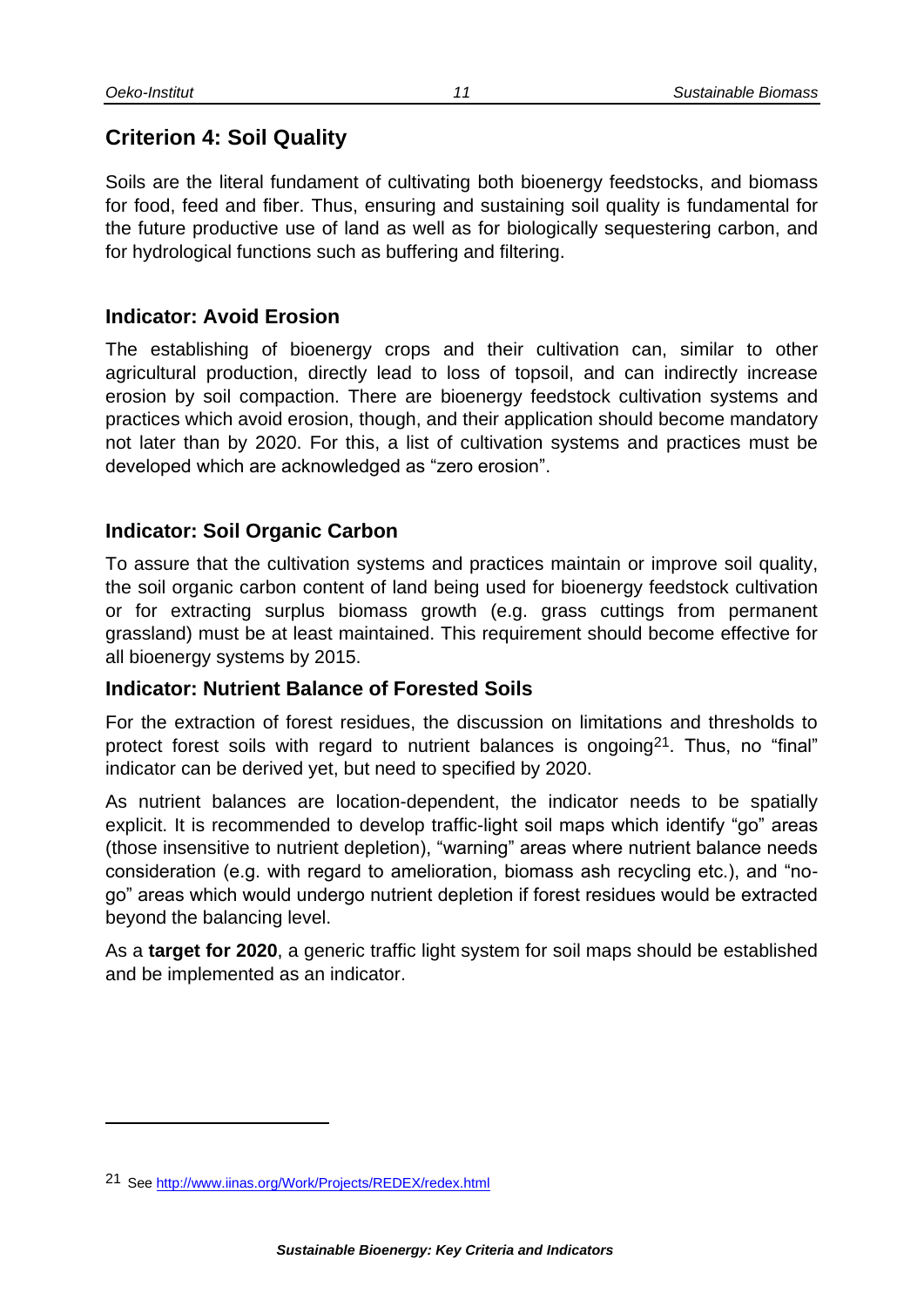### <span id="page-14-0"></span>**Criterion 4: Soil Quality**

Soils are the literal fundament of cultivating both bioenergy feedstocks, and biomass for food, feed and fiber. Thus, ensuring and sustaining soil quality is fundamental for the future productive use of land as well as for biologically sequestering carbon, and for hydrological functions such as buffering and filtering.

#### <span id="page-14-1"></span>**Indicator: Avoid Erosion**

The establishing of bioenergy crops and their cultivation can, similar to other agricultural production, directly lead to loss of topsoil, and can indirectly increase erosion by soil compaction. There are bioenergy feedstock cultivation systems and practices which avoid erosion, though, and their application should become mandatory not later than by 2020. For this, a list of cultivation systems and practices must be developed which are acknowledged as "zero erosion".

#### <span id="page-14-2"></span>**Indicator: Soil Organic Carbon**

To assure that the cultivation systems and practices maintain or improve soil quality, the soil organic carbon content of land being used for bioenergy feedstock cultivation or for extracting surplus biomass growth (e.g. grass cuttings from permanent grassland) must be at least maintained. This requirement should become effective for all bioenergy systems by 2015.

#### <span id="page-14-3"></span>**Indicator: Nutrient Balance of Forested Soils**

For the extraction of forest residues, the discussion on limitations and thresholds to protect forest soils with regard to nutrient balances is ongoing<sup>21</sup>. Thus, no "final" indicator can be derived yet, but need to specified by 2020.

As nutrient balances are location-dependent, the indicator needs to be spatially explicit. It is recommended to develop traffic-light soil maps which identify "go" areas (those insensitive to nutrient depletion), "warning" areas where nutrient balance needs consideration (e.g. with regard to amelioration, biomass ash recycling etc.), and "nogo" areas which would undergo nutrient depletion if forest residues would be extracted beyond the balancing level.

As a **target for 2020**, a generic traffic light system for soil maps should be established and be implemented as an indicator.

l

<sup>21</sup> See<http://www.iinas.org/Work/Projects/REDEX/redex.html>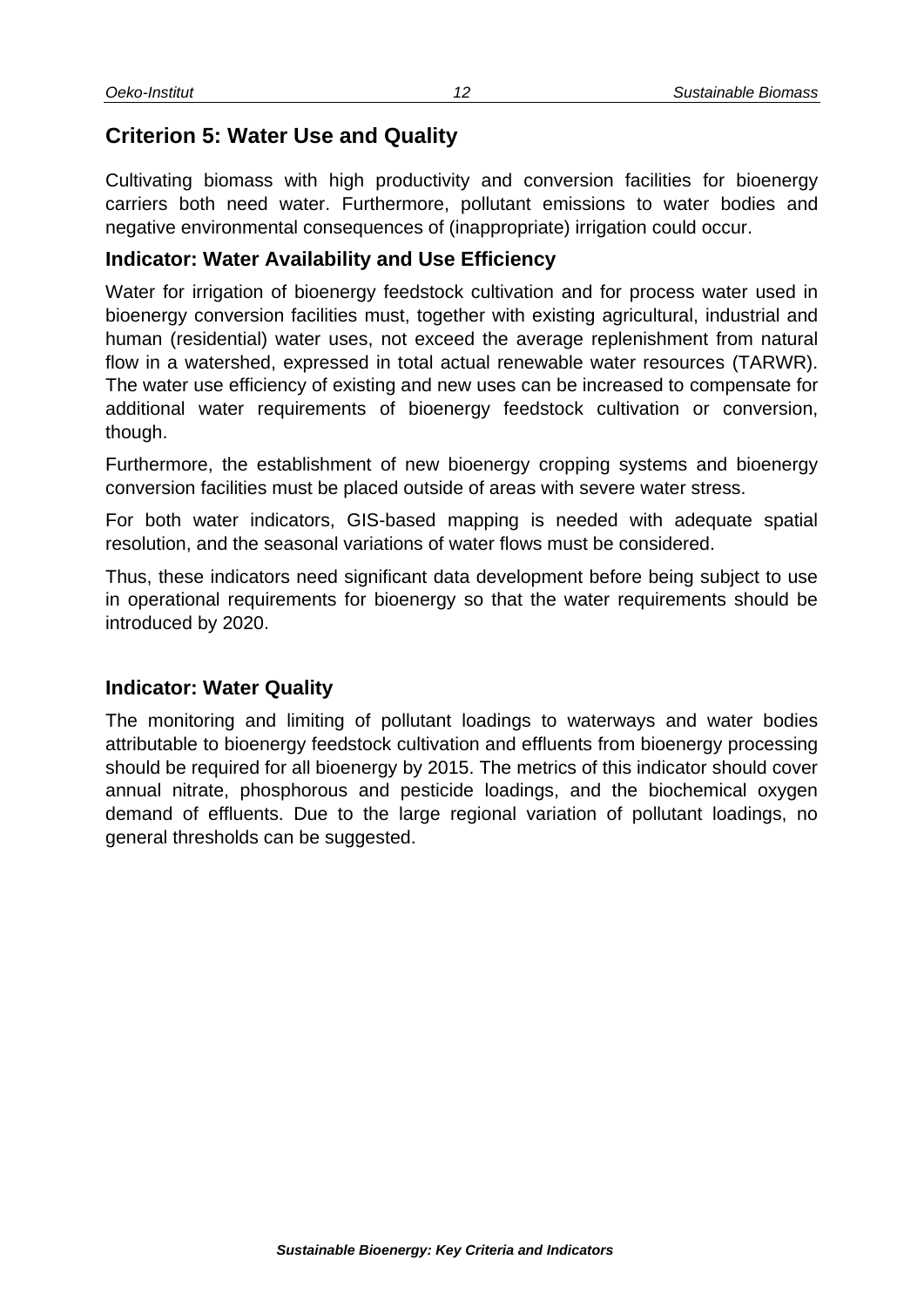### <span id="page-15-0"></span>**Criterion 5: Water Use and Quality**

Cultivating biomass with high productivity and conversion facilities for bioenergy carriers both need water. Furthermore, pollutant emissions to water bodies and negative environmental consequences of (inappropriate) irrigation could occur.

#### <span id="page-15-1"></span>**Indicator: Water Availability and Use Efficiency**

Water for irrigation of bioenergy feedstock cultivation and for process water used in bioenergy conversion facilities must, together with existing agricultural, industrial and human (residential) water uses, not exceed the average replenishment from natural flow in a watershed, expressed in total actual renewable water resources (TARWR). The water use efficiency of existing and new uses can be increased to compensate for additional water requirements of bioenergy feedstock cultivation or conversion, though.

Furthermore, the establishment of new bioenergy cropping systems and bioenergy conversion facilities must be placed outside of areas with severe water stress.

For both water indicators, GIS-based mapping is needed with adequate spatial resolution, and the seasonal variations of water flows must be considered.

Thus, these indicators need significant data development before being subject to use in operational requirements for bioenergy so that the water requirements should be introduced by 2020.

#### <span id="page-15-2"></span>**Indicator: Water Quality**

The monitoring and limiting of pollutant loadings to waterways and water bodies attributable to bioenergy feedstock cultivation and effluents from bioenergy processing should be required for all bioenergy by 2015. The metrics of this indicator should cover annual nitrate, phosphorous and pesticide loadings, and the biochemical oxygen demand of effluents. Due to the large regional variation of pollutant loadings, no general thresholds can be suggested.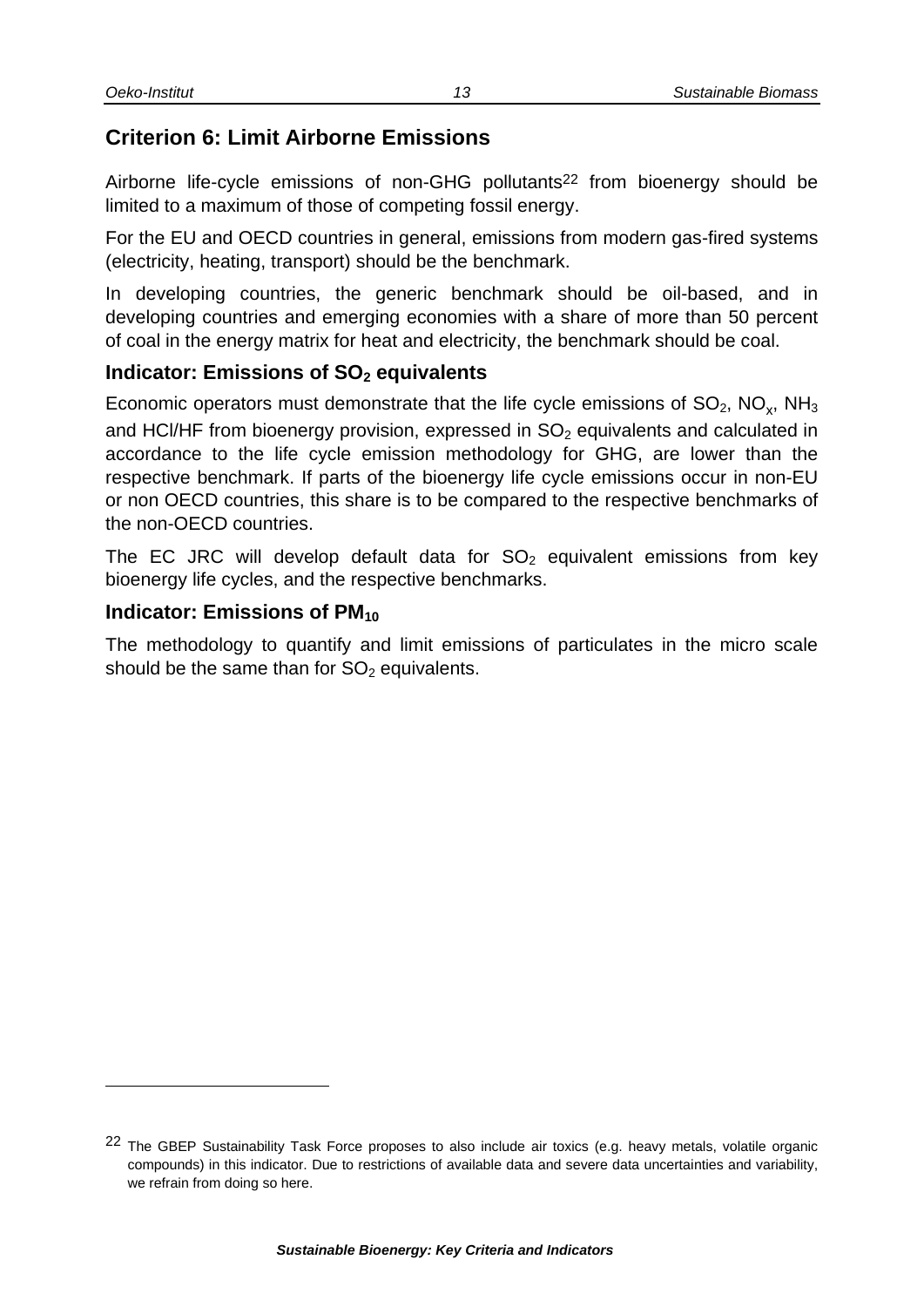### <span id="page-16-0"></span>**Criterion 6: Limit Airborne Emissions**

Airborne life-cycle emissions of non-GHG pollutants<sup>22</sup> from bioenergy should be limited to a maximum of those of competing fossil energy.

For the EU and OECD countries in general, emissions from modern gas-fired systems (electricity, heating, transport) should be the benchmark.

In developing countries, the generic benchmark should be oil-based, and in developing countries and emerging economies with a share of more than 50 percent of coal in the energy matrix for heat and electricity, the benchmark should be coal.

#### <span id="page-16-1"></span>**Indicator: Emissions of SO<sup>2</sup> equivalents**

Economic operators must demonstrate that the life cycle emissions of SO<sub>2</sub>, NO<sub>x</sub>, NH<sub>3</sub> and HCI/HF from bioenergy provision, expressed in  $SO<sub>2</sub>$  equivalents and calculated in accordance to the life cycle emission methodology for GHG, are lower than the respective benchmark. If parts of the bioenergy life cycle emissions occur in non-EU or non OECD countries, this share is to be compared to the respective benchmarks of the non-OECD countries.

The EC JRC will develop default data for  $SO<sub>2</sub>$  equivalent emissions from key bioenergy life cycles, and the respective benchmarks.

#### <span id="page-16-2"></span>**Indicator: Emissions of PM**<sub>10</sub>

l

The methodology to quantify and limit emissions of particulates in the micro scale should be the same than for  $SO<sub>2</sub>$  equivalents.

<sup>&</sup>lt;sup>22</sup> The GBEP Sustainability Task Force proposes to also include air toxics (e.g. heavy metals, volatile organic compounds) in this indicator. Due to restrictions of available data and severe data uncertainties and variability, we refrain from doing so here.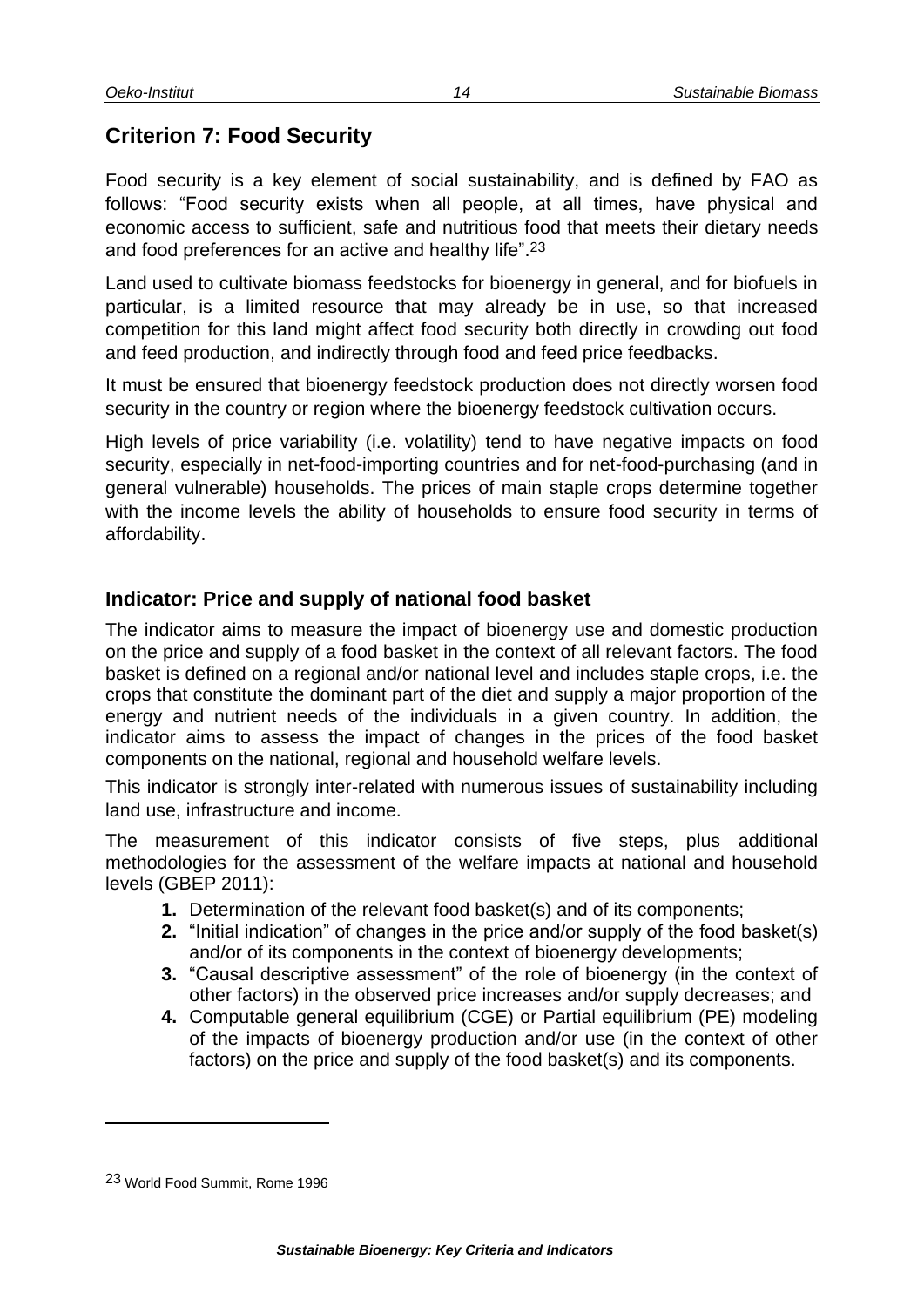# <span id="page-17-0"></span>**Criterion 7: Food Security**

Food security is a key element of social sustainability, and is defined by FAO as follows: "Food security exists when all people, at all times, have physical and economic access to sufficient, safe and nutritious food that meets their dietary needs and food preferences for an active and healthy life".23

Land used to cultivate biomass feedstocks for bioenergy in general, and for biofuels in particular, is a limited resource that may already be in use, so that increased competition for this land might affect food security both directly in crowding out food and feed production, and indirectly through food and feed price feedbacks.

It must be ensured that bioenergy feedstock production does not directly worsen food security in the country or region where the bioenergy feedstock cultivation occurs.

High levels of price variability (i.e. volatility) tend to have negative impacts on food security, especially in net-food-importing countries and for net-food-purchasing (and in general vulnerable) households. The prices of main staple crops determine together with the income levels the ability of households to ensure food security in terms of affordability.

#### <span id="page-17-1"></span>**Indicator: Price and supply of national food basket**

The indicator aims to measure the impact of bioenergy use and domestic production on the price and supply of a food basket in the context of all relevant factors. The food basket is defined on a regional and/or national level and includes staple crops, i.e. the crops that constitute the dominant part of the diet and supply a major proportion of the energy and nutrient needs of the individuals in a given country. In addition, the indicator aims to assess the impact of changes in the prices of the food basket components on the national, regional and household welfare levels.

This indicator is strongly inter-related with numerous issues of sustainability including land use, infrastructure and income.

The measurement of this indicator consists of five steps, plus additional methodologies for the assessment of the welfare impacts at national and household levels (GBEP 2011):

- **1.** Determination of the relevant food basket(s) and of its components;
- **2.** "Initial indication" of changes in the price and/or supply of the food basket(s) and/or of its components in the context of bioenergy developments;
- **3.** "Causal descriptive assessment" of the role of bioenergy (in the context of other factors) in the observed price increases and/or supply decreases; and
- **4.** Computable general equilibrium (CGE) or Partial equilibrium (PE) modeling of the impacts of bioenergy production and/or use (in the context of other factors) on the price and supply of the food basket(s) and its components.

l

<sup>23</sup> World Food Summit, Rome 1996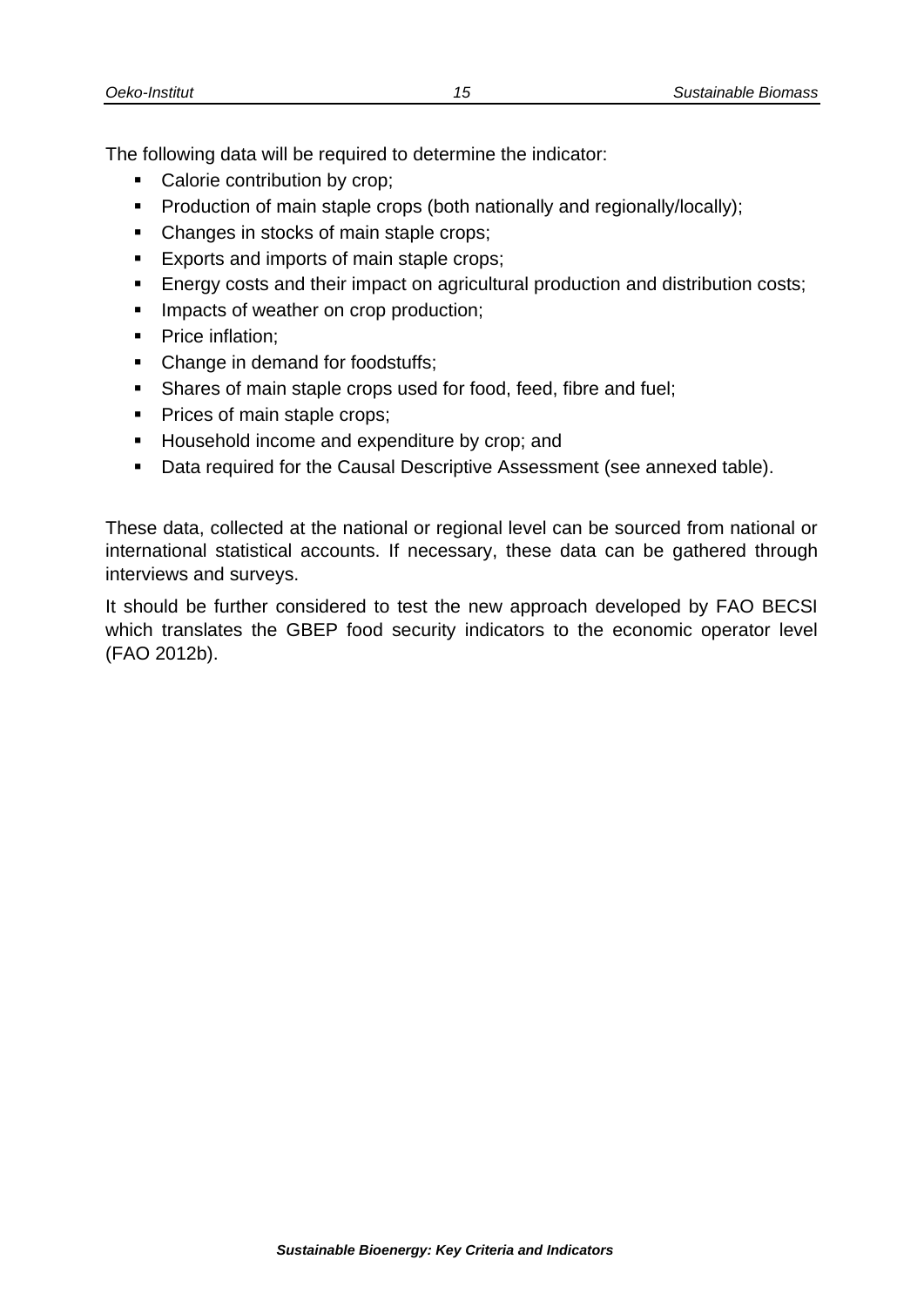The following data will be required to determine the indicator:

- Calorie contribution by crop;
- **Production of main staple crops (both nationally and regionally/locally);**
- Changes in stocks of main staple crops;
- **Exports and imports of main staple crops;**
- **Energy costs and their impact on agricultural production and distribution costs;**
- **IMPACTE OF WEATHER ON CROP PRODUCTION:**
- Price inflation;
- Change in demand for foodstuffs;
- **Shares of main staple crops used for food, feed, fibre and fuel;**
- Prices of main staple crops;
- Household income and expenditure by crop; and
- Data required for the Causal Descriptive Assessment (see annexed table).

These data, collected at the national or regional level can be sourced from national or international statistical accounts. If necessary, these data can be gathered through interviews and surveys.

It should be further considered to test the new approach developed by FAO BECSI which translates the GBEP food security indicators to the economic operator level (FAO 2012b).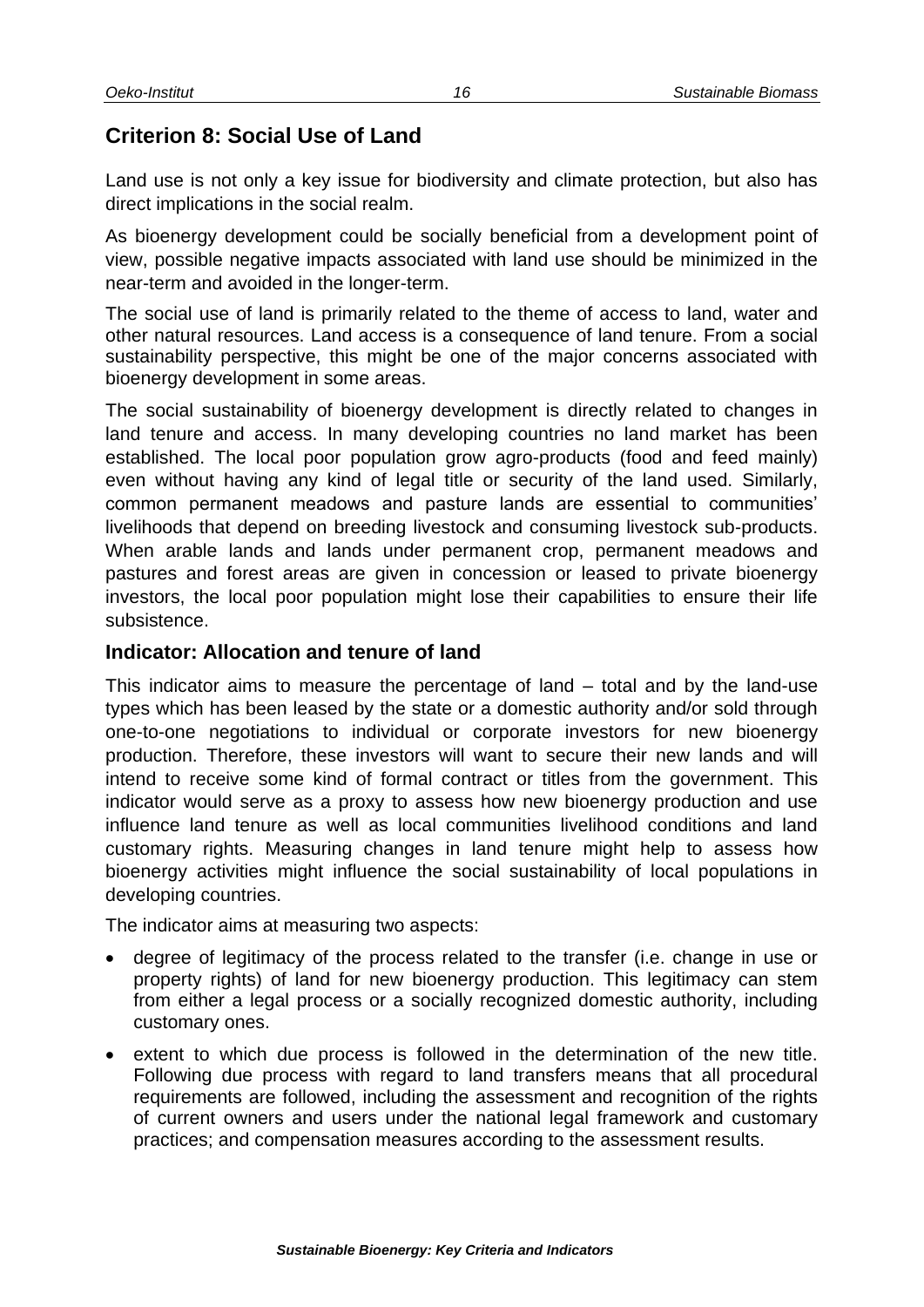# <span id="page-19-0"></span>**Criterion 8: Social Use of Land**

Land use is not only a key issue for biodiversity and climate protection, but also has direct implications in the social realm.

As bioenergy development could be socially beneficial from a development point of view, possible negative impacts associated with land use should be minimized in the near-term and avoided in the longer-term.

The social use of land is primarily related to the theme of access to land, water and other natural resources. Land access is a consequence of land tenure. From a social sustainability perspective, this might be one of the major concerns associated with bioenergy development in some areas.

The social sustainability of bioenergy development is directly related to changes in land tenure and access. In many developing countries no land market has been established. The local poor population grow agro-products (food and feed mainly) even without having any kind of legal title or security of the land used. Similarly, common permanent meadows and pasture lands are essential to communities' livelihoods that depend on breeding livestock and consuming livestock sub-products. When arable lands and lands under permanent crop, permanent meadows and pastures and forest areas are given in concession or leased to private bioenergy investors, the local poor population might lose their capabilities to ensure their life subsistence.

#### <span id="page-19-1"></span>**Indicator: Allocation and tenure of land**

This indicator aims to measure the percentage of land – total and by the land-use types which has been leased by the state or a domestic authority and/or sold through one-to-one negotiations to individual or corporate investors for new bioenergy production. Therefore, these investors will want to secure their new lands and will intend to receive some kind of formal contract or titles from the government. This indicator would serve as a proxy to assess how new bioenergy production and use influence land tenure as well as local communities livelihood conditions and land customary rights. Measuring changes in land tenure might help to assess how bioenergy activities might influence the social sustainability of local populations in developing countries.

The indicator aims at measuring two aspects:

- degree of legitimacy of the process related to the transfer (i.e. change in use or property rights) of land for new bioenergy production. This legitimacy can stem from either a legal process or a socially recognized domestic authority, including customary ones.
- extent to which due process is followed in the determination of the new title. Following due process with regard to land transfers means that all procedural requirements are followed, including the assessment and recognition of the rights of current owners and users under the national legal framework and customary practices; and compensation measures according to the assessment results.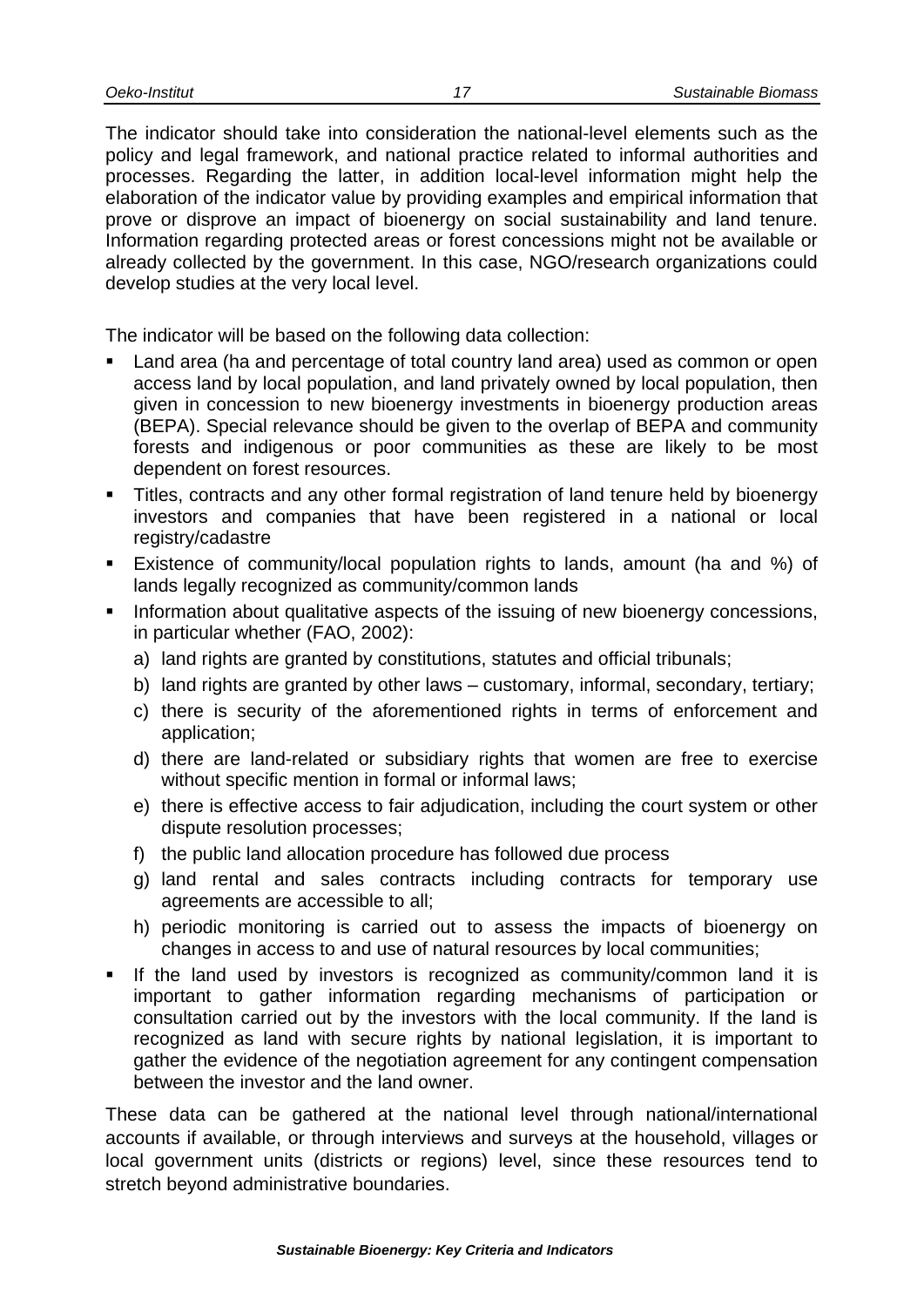The indicator should take into consideration the national-level elements such as the policy and legal framework, and national practice related to informal authorities and processes. Regarding the latter, in addition local-level information might help the elaboration of the indicator value by providing examples and empirical information that prove or disprove an impact of bioenergy on social sustainability and land tenure. Information regarding protected areas or forest concessions might not be available or already collected by the government. In this case, NGO/research organizations could develop studies at the very local level.

The indicator will be based on the following data collection:

- Land area (ha and percentage of total country land area) used as common or open access land by local population, and land privately owned by local population, then given in concession to new bioenergy investments in bioenergy production areas (BEPA). Special relevance should be given to the overlap of BEPA and community forests and indigenous or poor communities as these are likely to be most dependent on forest resources.
- Titles, contracts and any other formal registration of land tenure held by bioenergy investors and companies that have been registered in a national or local registry/cadastre
- Existence of community/local population rights to lands, amount (ha and %) of lands legally recognized as community/common lands
- Information about qualitative aspects of the issuing of new bioenergy concessions, in particular whether (FAO, 2002):
	- a) land rights are granted by constitutions, statutes and official tribunals;
	- b) land rights are granted by other laws customary, informal, secondary, tertiary;
	- c) there is security of the aforementioned rights in terms of enforcement and application;
	- d) there are land-related or subsidiary rights that women are free to exercise without specific mention in formal or informal laws;
	- e) there is effective access to fair adjudication, including the court system or other dispute resolution processes;
	- f) the public land allocation procedure has followed due process
	- g) land rental and sales contracts including contracts for temporary use agreements are accessible to all;
	- h) periodic monitoring is carried out to assess the impacts of bioenergy on changes in access to and use of natural resources by local communities;
- If the land used by investors is recognized as community/common land it is important to gather information regarding mechanisms of participation or consultation carried out by the investors with the local community. If the land is recognized as land with secure rights by national legislation, it is important to gather the evidence of the negotiation agreement for any contingent compensation between the investor and the land owner.

These data can be gathered at the national level through national/international accounts if available, or through interviews and surveys at the household, villages or local government units (districts or regions) level, since these resources tend to stretch beyond administrative boundaries.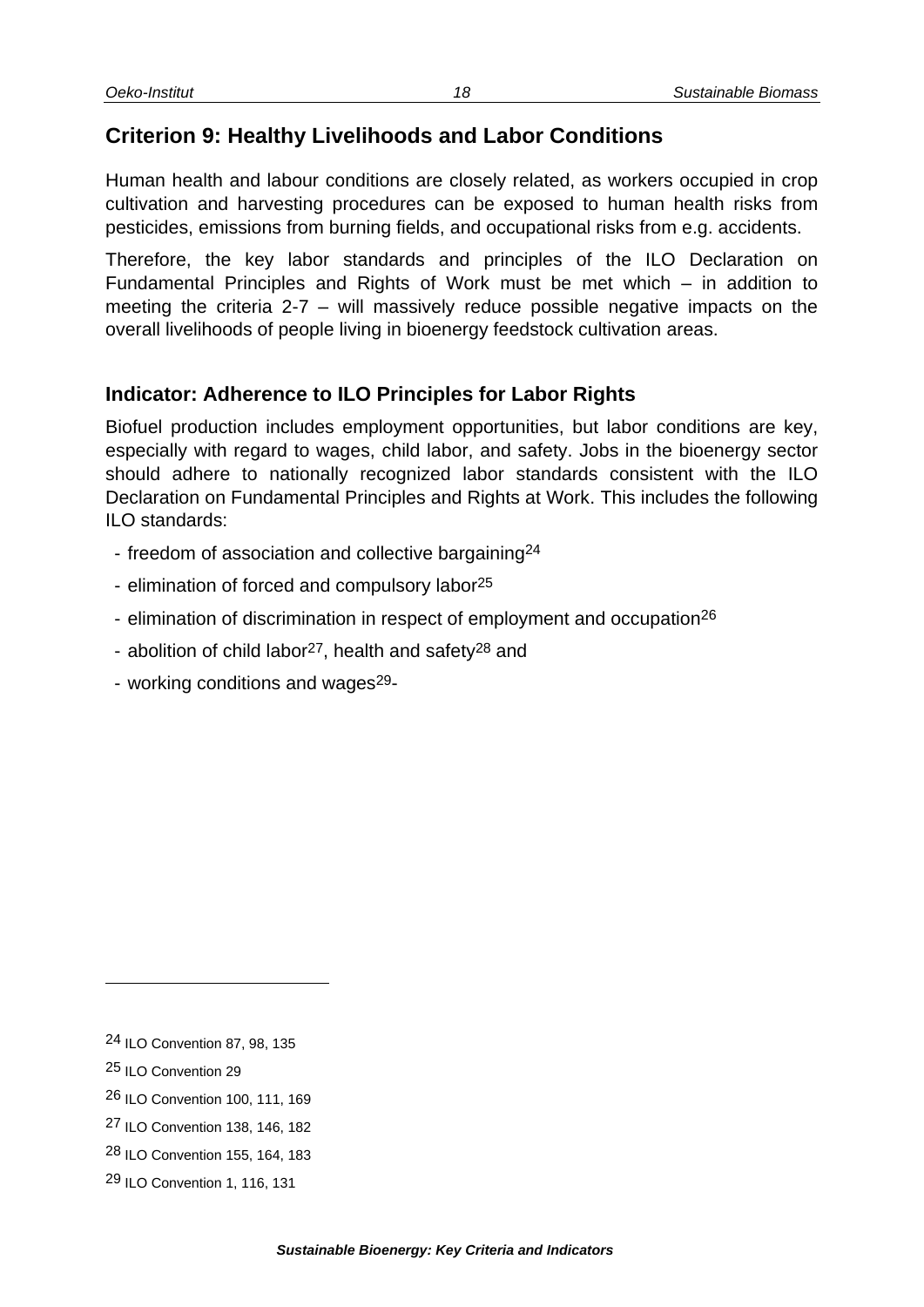# <span id="page-21-0"></span>**Criterion 9: Healthy Livelihoods and Labor Conditions**

Human health and labour conditions are closely related, as workers occupied in crop cultivation and harvesting procedures can be exposed to human health risks from pesticides, emissions from burning fields, and occupational risks from e.g. accidents.

Therefore, the key labor standards and principles of the ILO Declaration on Fundamental Principles and Rights of Work must be met which – in addition to meeting the criteria 2-7 – will massively reduce possible negative impacts on the overall livelihoods of people living in bioenergy feedstock cultivation areas.

#### <span id="page-21-1"></span>**Indicator: Adherence to ILO Principles for Labor Rights**

Biofuel production includes employment opportunities, but labor conditions are key, especially with regard to wages, child labor, and safety. Jobs in the bioenergy sector should adhere to nationally recognized labor standards consistent with the ILO Declaration on Fundamental Principles and Rights at Work. This includes the following ILO standards:

- freedom of association and collective bargaining<sup>24</sup>
- elimination of forced and compulsory labor<sup>25</sup>
- elimination of discrimination in respect of employment and occupation<sup>26</sup>
- abolition of child labor<sup>27</sup>, health and safety<sup>28</sup> and
- working conditions and wages<sup>29</sup>-

l

<sup>24</sup> ILO Convention 87, 98, 135

<sup>25</sup> ILO Convention 29

<sup>26</sup> ILO Convention 100, 111, 169

<sup>27</sup> ILO Convention 138, 146, 182

<sup>28</sup> ILO Convention 155, 164, 183

<sup>29</sup> ILO Convention 1, 116, 131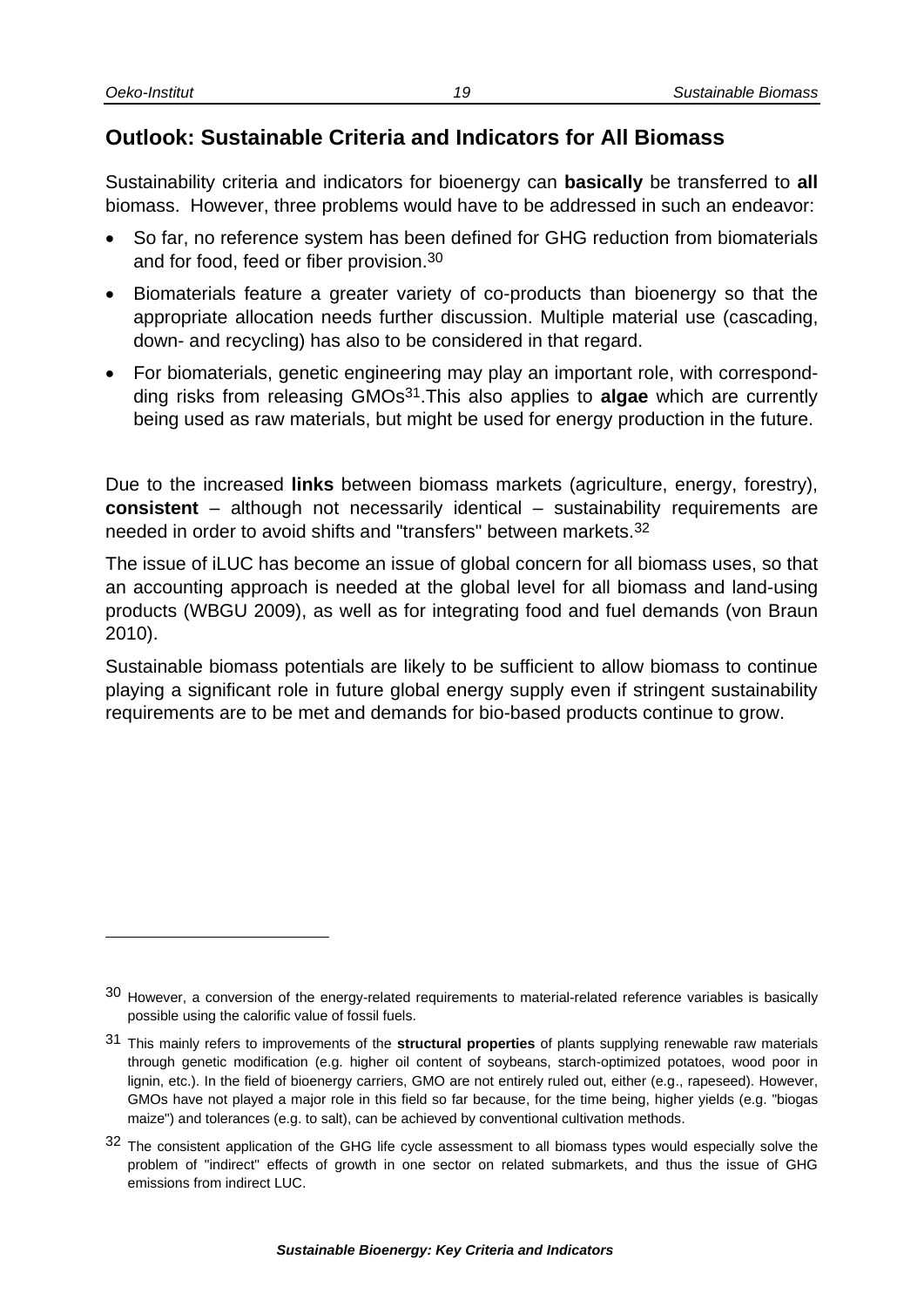## <span id="page-22-0"></span>**Outlook: Sustainable Criteria and Indicators for All Biomass**

Sustainability criteria and indicators for bioenergy can **basically** be transferred to **all** biomass. However, three problems would have to be addressed in such an endeavor:

- So far, no reference system has been defined for GHG reduction from biomaterials and for food, feed or fiber provision.30
- Biomaterials feature a greater variety of co-products than bioenergy so that the appropriate allocation needs further discussion. Multiple material use (cascading, down- and recycling) has also to be considered in that regard.
- For biomaterials, genetic engineering may play an important role, with correspondding risks from releasing GMOs31.This also applies to **algae** which are currently being used as raw materials, but might be used for energy production in the future.

Due to the increased **links** between biomass markets (agriculture, energy, forestry), **consistent** – although not necessarily identical – sustainability requirements are needed in order to avoid shifts and "transfers" between markets.32

The issue of iLUC has become an issue of global concern for all biomass uses, so that an accounting approach is needed at the global level for all biomass and land-using products (WBGU 2009), as well as for integrating food and fuel demands (von Braun 2010).

Sustainable biomass potentials are likely to be sufficient to allow biomass to continue playing a significant role in future global energy supply even if stringent sustainability requirements are to be met and demands for bio-based products continue to grow.

<sup>30</sup> However, a conversion of the energy-related requirements to material-related reference variables is basically possible using the calorific value of fossil fuels.

<sup>31</sup> This mainly refers to improvements of the **structural properties** of plants supplying renewable raw materials through genetic modification (e.g. higher oil content of soybeans, starch-optimized potatoes, wood poor in lignin, etc.). In the field of bioenergy carriers, GMO are not entirely ruled out, either (e.g., rapeseed). However, GMOs have not played a major role in this field so far because, for the time being, higher yields (e.g. "biogas maize") and tolerances (e.g. to salt), can be achieved by conventional cultivation methods.

<sup>32</sup> The consistent application of the GHG life cycle assessment to all biomass types would especially solve the problem of "indirect" effects of growth in one sector on related submarkets, and thus the issue of GHG emissions from indirect LUC.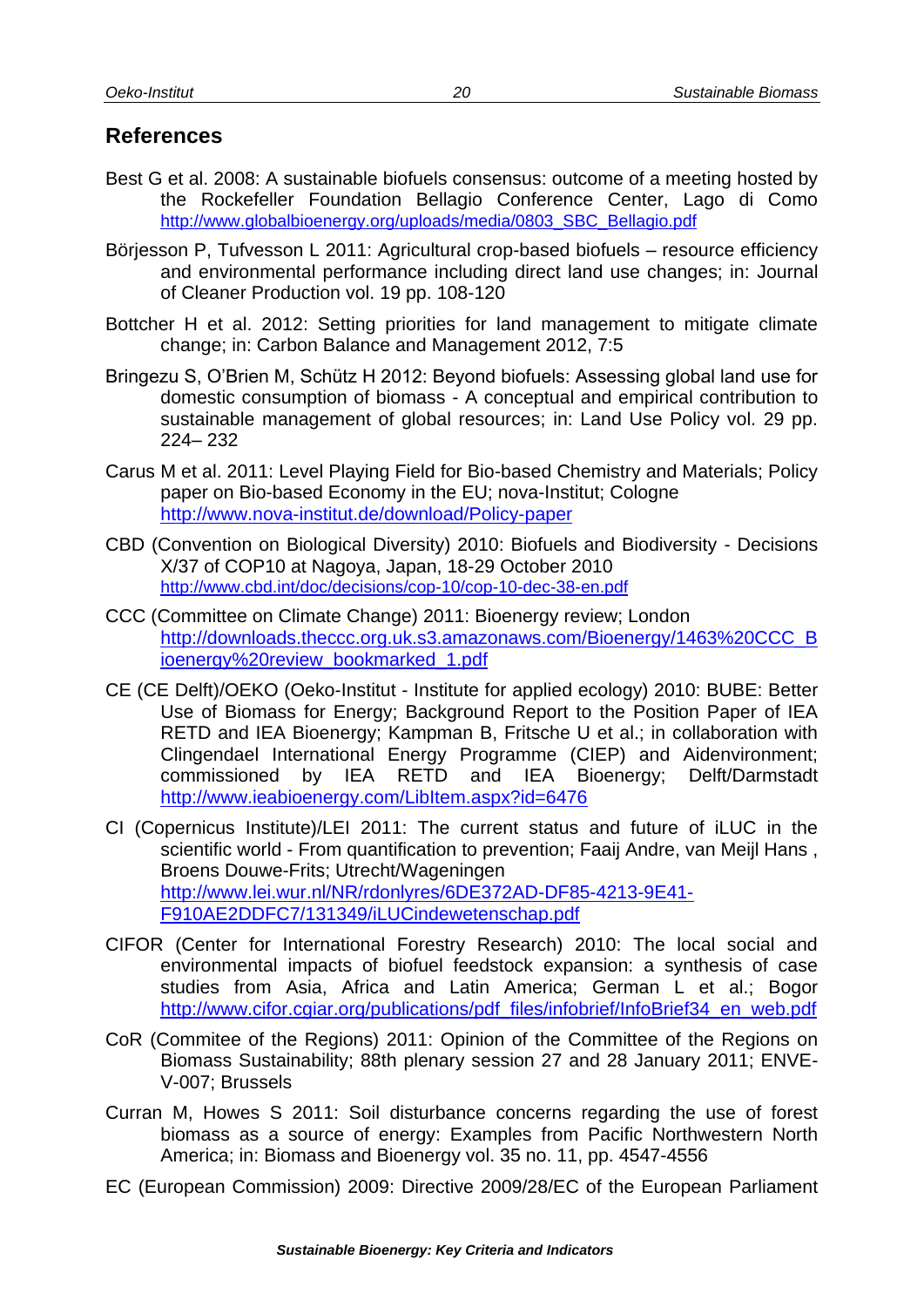#### <span id="page-23-0"></span>**References**

- Best G et al. 2008: A sustainable biofuels consensus: outcome of a meeting hosted by the Rockefeller Foundation Bellagio Conference Center, Lago di Como [http://www.globalbioenergy.org/uploads/media/0803\\_SBC\\_Bellagio.pdf](http://www.globalbioenergy.org/uploads/media/0803_SBC_Bellagio.pdf)
- Börjesson P, Tufvesson L 2011: Agricultural crop-based biofuels resource efficiency and environmental performance including direct land use changes; in: Journal of Cleaner Production vol. 19 pp. 108-120
- Bottcher H et al. 2012: Setting priorities for land management to mitigate climate change; in: Carbon Balance and Management 2012, 7:5
- Bringezu S, O'Brien M, Schütz H 2012: Beyond biofuels: Assessing global land use for domestic consumption of biomass - A conceptual and empirical contribution to sustainable management of global resources; in: Land Use Policy vol. 29 pp. 224– 232
- Carus M et al. 2011: Level Playing Field for Bio-based Chemistry and Materials; Policy paper on Bio-based Economy in the EU; nova-Institut; Cologne <http://www.nova-institut.de/download/Policy-paper>
- CBD (Convention on Biological Diversity) 2010: Biofuels and Biodiversity Decisions X/37 of COP10 at Nagoya, Japan, 18-29 October 2010 <http://www.cbd.int/doc/decisions/cop-10/cop-10-dec-38-en.pdf>
- CCC (Committee on Climate Change) 2011: Bioenergy review; London [http://downloads.theccc.org.uk.s3.amazonaws.com/Bioenergy/1463%20CCC\\_B](http://downloads.theccc.org.uk.s3.amazonaws.com/Bioenergy/1463%20CCC_Bioenergy%20review_bookmarked_1.pdf) [ioenergy%20review\\_bookmarked\\_1.pdf](http://downloads.theccc.org.uk.s3.amazonaws.com/Bioenergy/1463%20CCC_Bioenergy%20review_bookmarked_1.pdf)
- CE (CE Delft)/OEKO (Oeko-Institut Institute for applied ecology) 2010: BUBE: Better Use of Biomass for Energy; Background Report to the Position Paper of IEA RETD and IEA Bioenergy; Kampman B, Fritsche U et al.; in collaboration with Clingendael International Energy Programme (CIEP) and Aidenvironment; commissioned by IEA RETD and IEA Bioenergy; Delft/Darmstadt <http://www.ieabioenergy.com/LibItem.aspx?id=6476>
- CI (Copernicus Institute)/LEI 2011: The current status and future of iLUC in the scientific world - From quantification to prevention; Faaij Andre, van Meijl Hans , Broens Douwe-Frits; Utrecht/Wageningen [http://www.lei.wur.nl/NR/rdonlyres/6DE372AD-DF85-4213-9E41-](http://www.lei.wur.nl/NR/rdonlyres/6DE372AD-DF85-4213-9E41-F910AE2DDFC7/131349/iLUCindewetenschap.pdf) [F910AE2DDFC7/131349/iLUCindewetenschap.pdf](http://www.lei.wur.nl/NR/rdonlyres/6DE372AD-DF85-4213-9E41-F910AE2DDFC7/131349/iLUCindewetenschap.pdf)
- CIFOR (Center for International Forestry Research) 2010: The local social and environmental impacts of biofuel feedstock expansion: a synthesis of case studies from Asia, Africa and Latin America; German L et al.; Bogor [http://www.cifor.cgiar.org/publications/pdf\\_files/infobrief/InfoBrief34\\_en\\_web.pdf](http://www.cifor.cgiar.org/publications/pdf_files/infobrief/InfoBrief34_en_web.pdf)
- CoR (Commitee of the Regions) 2011: Opinion of the Committee of the Regions on Biomass Sustainability; 88th plenary session 27 and 28 January 2011; ENVE-V-007; Brussels
- Curran M, Howes S 2011: Soil disturbance concerns regarding the use of forest biomass as a source of energy: Examples from Pacific Northwestern North America; in: Biomass and Bioenergy vol. 35 no. 11, pp. 4547-4556
- EC (European Commission) 2009: Directive 2009/28/EC of the European Parliament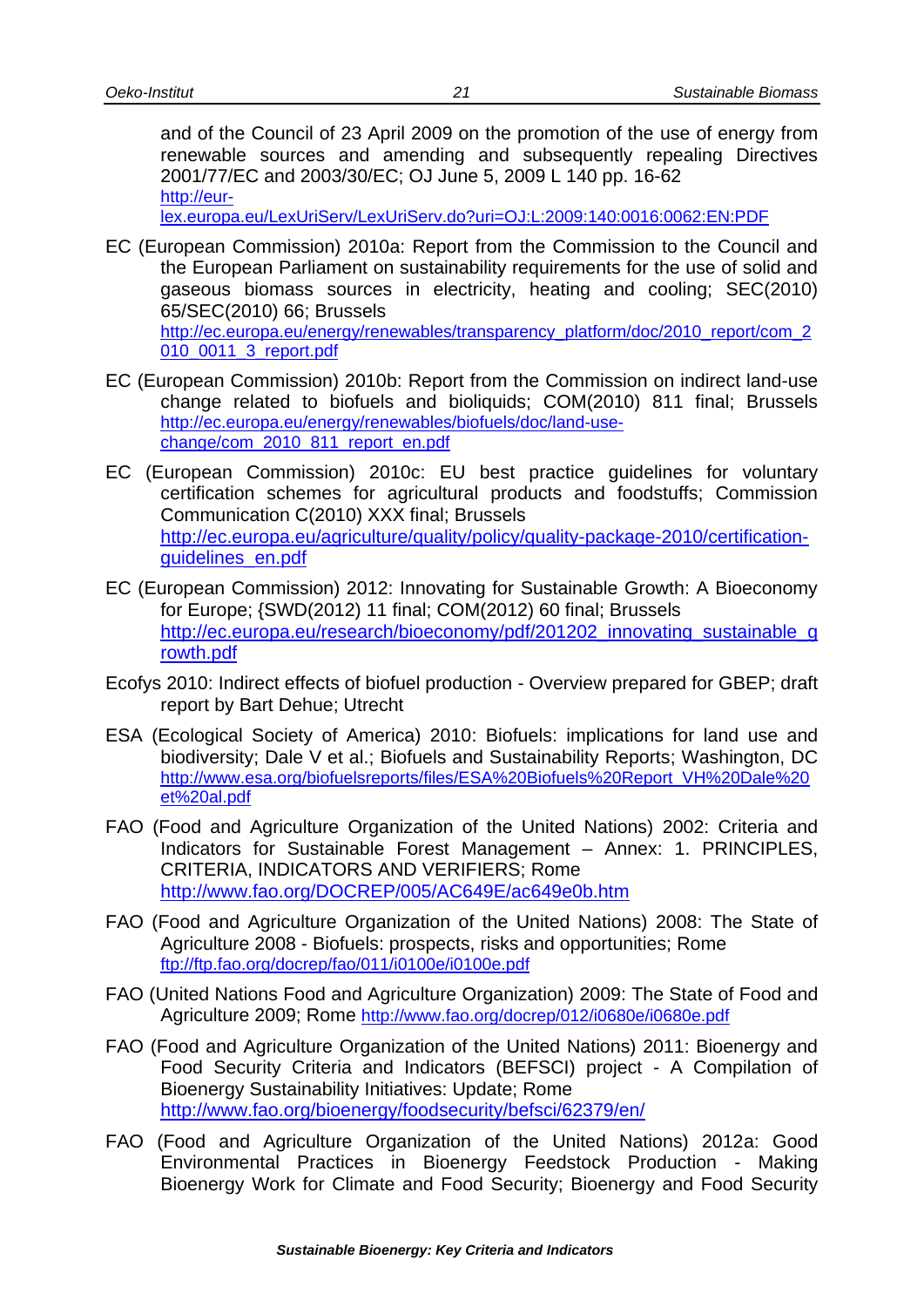and of the Council of 23 April 2009 on the promotion of the use of energy from renewable sources and amending and subsequently repealing Directives 2001/77/EC and 2003/30/EC; OJ June 5, 2009 L 140 pp. 16-62 [http://eur-](http://eur-lex.europa.eu/LexUriServ/LexUriServ.do?uri=OJ:L:2009:140:0016:0062:EN:PDF)

[lex.europa.eu/LexUriServ/LexUriServ.do?uri=OJ:L:2009:140:0016:0062:EN:PDF](http://eur-lex.europa.eu/LexUriServ/LexUriServ.do?uri=OJ:L:2009:140:0016:0062:EN:PDF)

- EC (European Commission) 2010a: Report from the Commission to the Council and the European Parliament on sustainability requirements for the use of solid and gaseous biomass sources in electricity, heating and cooling; SEC(2010) 65/SEC(2010) 66; Brussels [http://ec.europa.eu/energy/renewables/transparency\\_platform/doc/2010\\_report/com\\_2](http://ec.europa.eu/energy/renewables/transparency_platform/doc/2010_report/com_2010_0011_3_report.pdf) [010\\_0011\\_3\\_report.pdf](http://ec.europa.eu/energy/renewables/transparency_platform/doc/2010_report/com_2010_0011_3_report.pdf)
- EC (European Commission) 2010b: Report from the Commission on indirect land-use change related to biofuels and bioliquids; COM(2010) 811 final; Brussels [http://ec.europa.eu/energy/renewables/biofuels/doc/land-use](http://ec.europa.eu/energy/renewables/biofuels/doc/land-use-change/com_2010_811_report_en.pdf)[change/com\\_2010\\_811\\_report\\_en.pdf](http://ec.europa.eu/energy/renewables/biofuels/doc/land-use-change/com_2010_811_report_en.pdf)
- EC (European Commission) 2010c: EU best practice guidelines for voluntary certification schemes for agricultural products and foodstuffs; Commission Communication C(2010) XXX final; Brussels [http://ec.europa.eu/agriculture/quality/policy/quality-package-2010/certification](http://ec.europa.eu/agriculture/quality/policy/quality-package-2010/certification-guidelines_en.pdf)[guidelines\\_en.pdf](http://ec.europa.eu/agriculture/quality/policy/quality-package-2010/certification-guidelines_en.pdf)
- EC (European Commission) 2012: Innovating for Sustainable Growth: A Bioeconomy for Europe; {SWD(2012) 11 final; COM(2012) 60 final; Brussels [http://ec.europa.eu/research/bioeconomy/pdf/201202\\_innovating\\_sustainable\\_g](http://ec.europa.eu/research/bioeconomy/pdf/201202_innovating_sustainable_growth.pdf) [rowth.pdf](http://ec.europa.eu/research/bioeconomy/pdf/201202_innovating_sustainable_growth.pdf)
- Ecofys 2010: Indirect effects of biofuel production Overview prepared for GBEP; draft report by Bart Dehue; Utrecht
- ESA (Ecological Society of America) 2010: Biofuels: implications for land use and biodiversity; Dale V et al.; Biofuels and Sustainability Reports; Washington, DC [http://www.esa.org/biofuelsreports/files/ESA%20Biofuels%20Report\\_VH%20Dale%20](http://www.esa.org/biofuelsreports/files/ESA%20Biofuels%20Report_VH%20Dale%20et%20al.pdf) [et%20al.pdf](http://www.esa.org/biofuelsreports/files/ESA%20Biofuels%20Report_VH%20Dale%20et%20al.pdf)
- FAO (Food and Agriculture Organization of the United Nations) 2002: Criteria and Indicators for Sustainable Forest Management – Annex: 1. PRINCIPLES, CRITERIA, INDICATORS AND VERIFIERS; Rome <http://www.fao.org/DOCREP/005/AC649E/ac649e0b.htm>
- FAO (Food and Agriculture Organization of the United Nations) 2008: The State of Agriculture 2008 - Biofuels: prospects, risks and opportunities; Rome <ftp://ftp.fao.org/docrep/fao/011/i0100e/i0100e.pdf>
- FAO (United Nations Food and Agriculture Organization) 2009: The State of Food and Agriculture 2009; Rome <http://www.fao.org/docrep/012/i0680e/i0680e.pdf>
- FAO (Food and Agriculture Organization of the United Nations) 2011: Bioenergy and Food Security Criteria and Indicators (BEFSCI) project - A Compilation of Bioenergy Sustainability Initiatives: Update; Rome <http://www.fao.org/bioenergy/foodsecurity/befsci/62379/en/>
- FAO (Food and Agriculture Organization of the United Nations) 2012a: Good Environmental Practices in Bioenergy Feedstock Production - Making Bioenergy Work for Climate and Food Security; Bioenergy and Food Security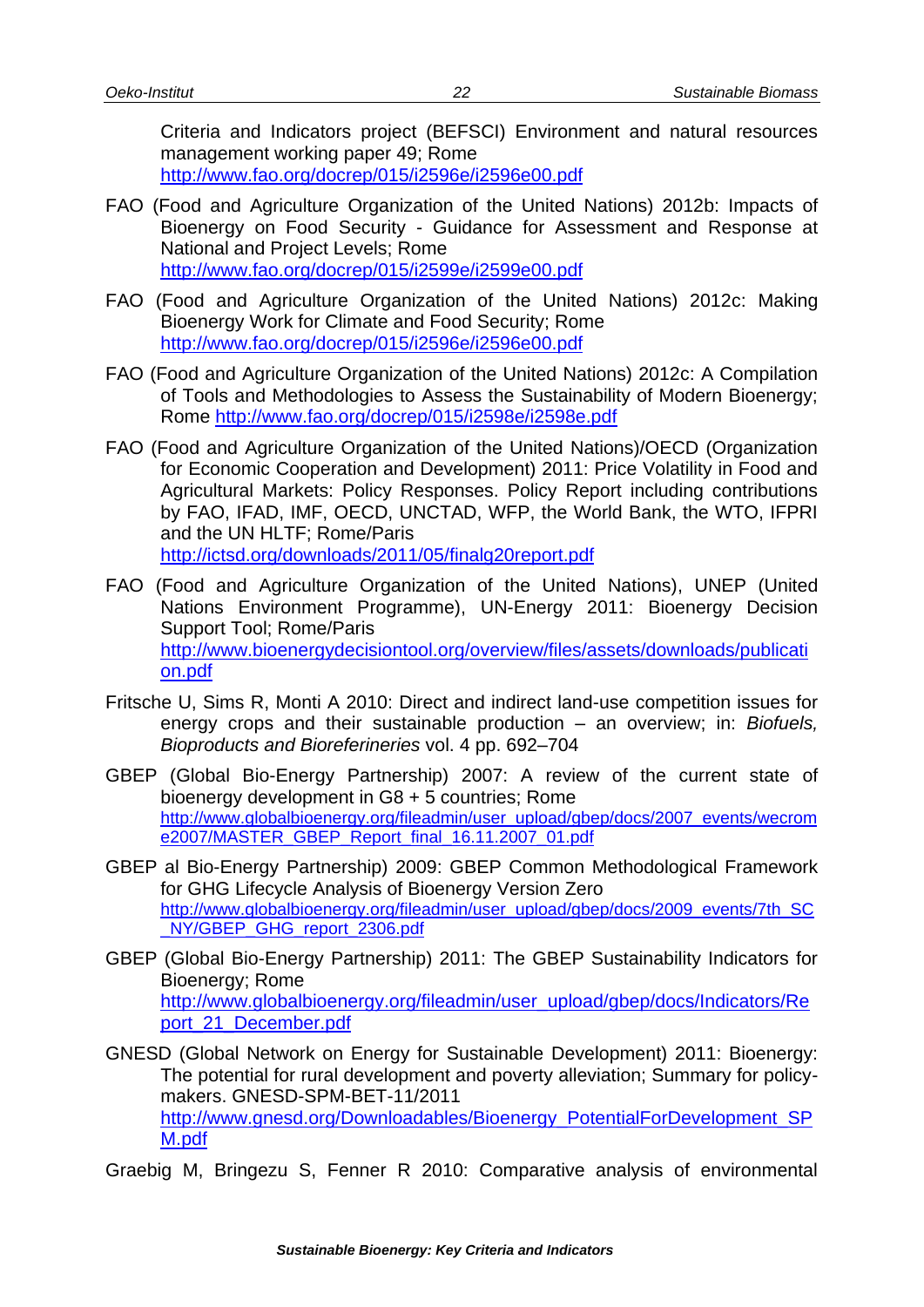Criteria and Indicators project (BEFSCI) Environment and natural resources management working paper 49; Rome <http://www.fao.org/docrep/015/i2596e/i2596e00.pdf>

- FAO (Food and Agriculture Organization of the United Nations) 2012b: Impacts of Bioenergy on Food Security - Guidance for Assessment and Response at National and Project Levels; Rome <http://www.fao.org/docrep/015/i2599e/i2599e00.pdf>
- FAO (Food and Agriculture Organization of the United Nations) 2012c: Making Bioenergy Work for Climate and Food Security; Rome <http://www.fao.org/docrep/015/i2596e/i2596e00.pdf>
- FAO (Food and Agriculture Organization of the United Nations) 2012c: A Compilation of Tools and Methodologies to Assess the Sustainability of Modern Bioenergy; Rome<http://www.fao.org/docrep/015/i2598e/i2598e.pdf>
- FAO (Food and Agriculture Organization of the United Nations)/OECD (Organization for Economic Cooperation and Development) 2011: Price Volatility in Food and Agricultural Markets: Policy Responses. Policy Report including contributions by FAO, IFAD, IMF, OECD, UNCTAD, WFP, the World Bank, the WTO, IFPRI and the UN HLTF; Rome/Paris <http://ictsd.org/downloads/2011/05/finalg20report.pdf>
- FAO (Food and Agriculture Organization of the United Nations), UNEP (United Nations Environment Programme), UN-Energy 2011: Bioenergy Decision Support Tool; Rome/Paris [http://www.bioenergydecisiontool.org/overview/files/assets/downloads/publicati](http://www.bioenergydecisiontool.org/overview/files/assets/downloads/publication.pdf) [on.pdf](http://www.bioenergydecisiontool.org/overview/files/assets/downloads/publication.pdf)
- Fritsche U, Sims R, Monti A 2010: Direct and indirect land-use competition issues for energy crops and their sustainable production – an overview; in: *Biofuels, Bioproducts and Bioreferineries* vol. 4 pp. 692–704
- GBEP (Global Bio-Energy Partnership) 2007: A review of the current state of bioenergy development in G8 + 5 countries; Rome [http://www.globalbioenergy.org/fileadmin/user\\_upload/gbep/docs/2007\\_events/wecrom](http://www.globalbioenergy.org/fileadmin/user_upload/gbep/docs/2007_events/wecrome2007/MASTER_GBEP_Report_final_16.11.2007_01.pdf) [e2007/MASTER\\_GBEP\\_Report\\_final\\_16.11.2007\\_01.pdf](http://www.globalbioenergy.org/fileadmin/user_upload/gbep/docs/2007_events/wecrome2007/MASTER_GBEP_Report_final_16.11.2007_01.pdf)
- GBEP al Bio-Energy Partnership) 2009: GBEP Common Methodological Framework for GHG Lifecycle Analysis of Bioenergy Version Zero [http://www.globalbioenergy.org/fileadmin/user\\_upload/gbep/docs/2009\\_events/7th\\_SC](http://www.globalbioenergy.org/fileadmin/user_upload/gbep/docs/2009_events/7th_SC_NY/GBEP_GHG_report_2306.pdf) [\\_NY/GBEP\\_GHG\\_report\\_2306.pdf](http://www.globalbioenergy.org/fileadmin/user_upload/gbep/docs/2009_events/7th_SC_NY/GBEP_GHG_report_2306.pdf)
- GBEP (Global Bio-Energy Partnership) 2011: The GBEP Sustainability Indicators for Bioenergy; Rome [http://www.globalbioenergy.org/fileadmin/user\\_upload/gbep/docs/Indicators/Re](http://www.globalbioenergy.org/fileadmin/user_upload/gbep/docs/Indicators/Report_21_December.pdf) [port\\_21\\_December.pdf](http://www.globalbioenergy.org/fileadmin/user_upload/gbep/docs/Indicators/Report_21_December.pdf)
- GNESD (Global Network on Energy for Sustainable Development) 2011: Bioenergy: The potential for rural development and poverty alleviation; Summary for policymakers. GNESD-SPM-BET-11/2011 [http://www.gnesd.org/Downloadables/Bioenergy\\_PotentialForDevelopment\\_SP](http://www.gnesd.org/Downloadables/Bioenergy_PotentialForDevelopment_SPM.pdf) [M.pdf](http://www.gnesd.org/Downloadables/Bioenergy_PotentialForDevelopment_SPM.pdf)
- Graebig M, Bringezu S, Fenner R 2010: Comparative analysis of environmental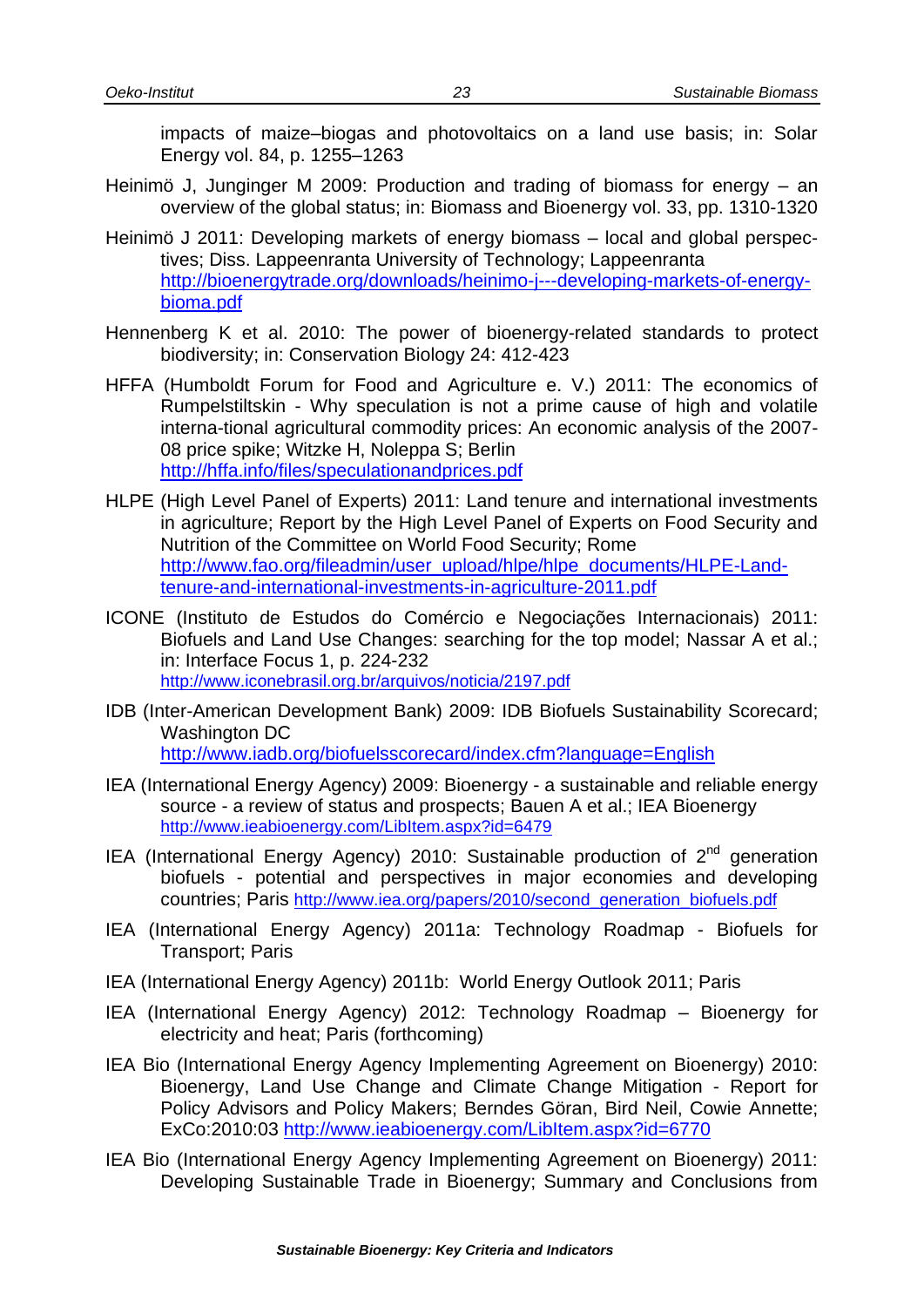impacts of maize–biogas and photovoltaics on a land use basis; in: Solar Energy vol. 84, p. 1255–1263

- Heinimö J, Junginger M 2009: Production and trading of biomass for energy an overview of the global status; in: Biomass and Bioenergy vol. 33, pp. 1310-1320
- Heinimö J 2011: Developing markets of energy biomass local and global perspectives; Diss. Lappeenranta University of Technology; Lappeenranta [http://bioenergytrade.org/downloads/heinimo-j---developing-markets-of-energy](http://bioenergytrade.org/downloads/heinimo-j---developing-markets-of-energy-bioma.pdf)[bioma.pdf](http://bioenergytrade.org/downloads/heinimo-j---developing-markets-of-energy-bioma.pdf)
- Hennenberg K et al. 2010: The power of bioenergy-related standards to protect biodiversity; in: Conservation Biology 24: 412-423
- HFFA (Humboldt Forum for Food and Agriculture e. V.) 2011: The economics of Rumpelstiltskin - Why speculation is not a prime cause of high and volatile interna-tional agricultural commodity prices: An economic analysis of the 2007- 08 price spike; Witzke H, Noleppa S; Berlin <http://hffa.info/files/speculationandprices.pdf>
- HLPE (High Level Panel of Experts) 2011: Land tenure and international investments in agriculture; Report by the High Level Panel of Experts on Food Security and Nutrition of the Committee on World Food Security; Rome [http://www.fao.org/fileadmin/user\\_upload/hlpe/hlpe\\_documents/HLPE-Land](http://www.fao.org/fileadmin/user_upload/hlpe/hlpe_documents/HLPE-Land-tenure-and-international-investments-in-agriculture-2011.pdf)[tenure-and-international-investments-in-agriculture-2011.pdf](http://www.fao.org/fileadmin/user_upload/hlpe/hlpe_documents/HLPE-Land-tenure-and-international-investments-in-agriculture-2011.pdf)
- ICONE (Instituto de Estudos do Comércio e Negociações Internacionais) 2011: Biofuels and Land Use Changes: searching for the top model; Nassar A et al.; in: Interface Focus 1, p. 224-232 <http://www.iconebrasil.org.br/arquivos/noticia/2197.pdf>
- IDB (Inter-American Development Bank) 2009: IDB Biofuels Sustainability Scorecard; Washington DC <http://www.iadb.org/biofuelsscorecard/index.cfm?language=English>
- IEA (International Energy Agency) 2009: Bioenergy a sustainable and reliable energy source - a review of status and prospects; Bauen A et al.; IEA Bioenergy <http://www.ieabioenergy.com/LibItem.aspx?id=6479>
- IEA (International Energy Agency) 2010: Sustainable production of  $2<sup>nd</sup>$  generation biofuels - potential and perspectives in major economies and developing countries; Paris [http://www.iea.org/papers/2010/second\\_generation\\_biofuels.pdf](http://www.iea.org/papers/2010/second_generation_biofuels.pdf)
- IEA (International Energy Agency) 2011a: Technology Roadmap Biofuels for Transport; Paris
- IEA (International Energy Agency) 2011b: World Energy Outlook 2011; Paris
- IEA (International Energy Agency) 2012: Technology Roadmap Bioenergy for electricity and heat; Paris (forthcoming)
- IEA Bio (International Energy Agency Implementing Agreement on Bioenergy) 2010: Bioenergy, Land Use Change and Climate Change Mitigation - Report for Policy Advisors and Policy Makers; Berndes Göran, Bird Neil, Cowie Annette; ExCo:2010:03<http://www.ieabioenergy.com/LibItem.aspx?id=6770>
- IEA Bio (International Energy Agency Implementing Agreement on Bioenergy) 2011: Developing Sustainable Trade in Bioenergy; Summary and Conclusions from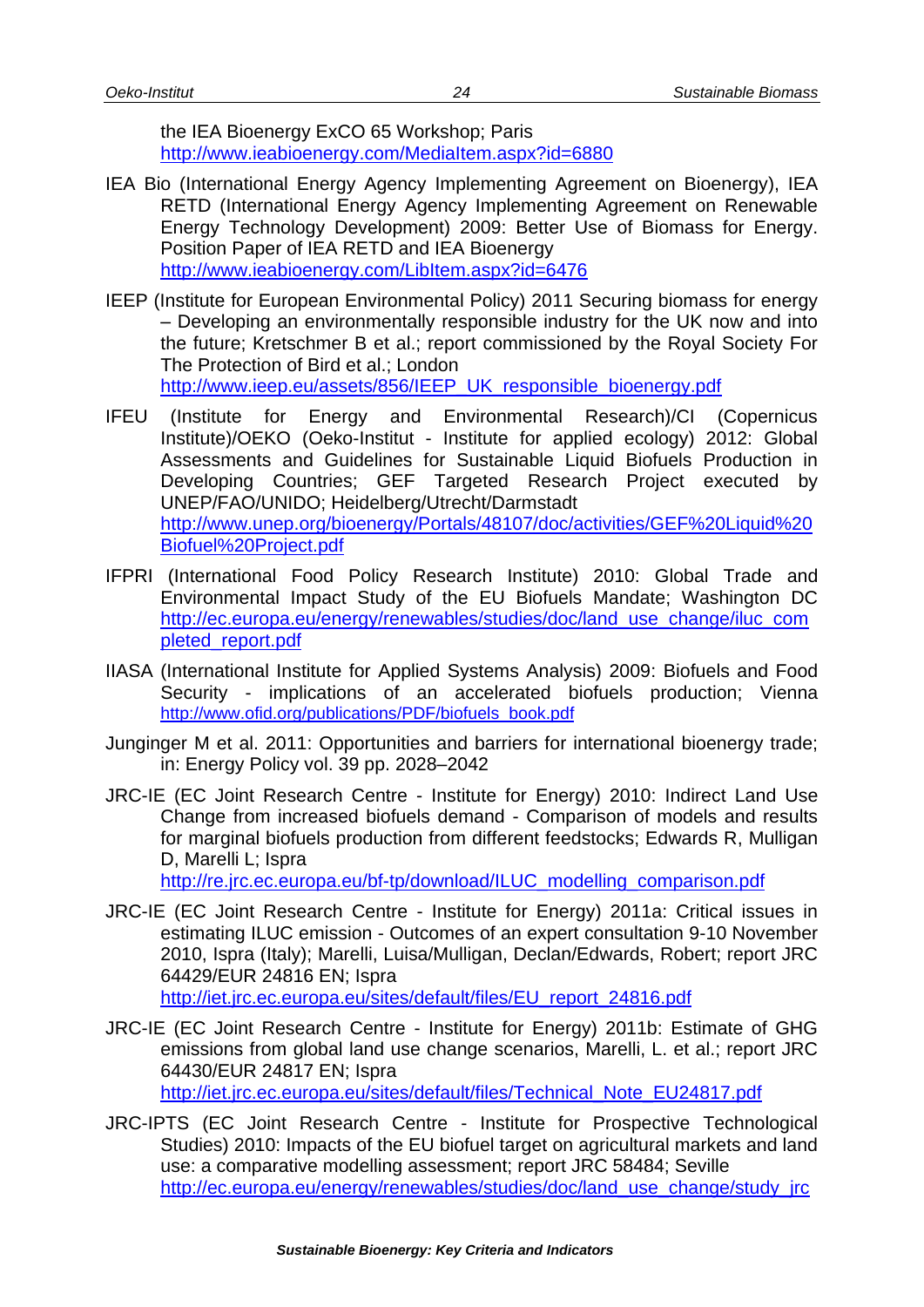the IEA Bioenergy ExCO 65 Workshop; Paris <http://www.ieabioenergy.com/MediaItem.aspx?id=6880>

- IEA Bio (International Energy Agency Implementing Agreement on Bioenergy), IEA RETD (International Energy Agency Implementing Agreement on Renewable Energy Technology Development) 2009: Better Use of Biomass for Energy. Position Paper of IEA RETD and IEA Bioenergy <http://www.ieabioenergy.com/LibItem.aspx?id=6476>
- IEEP (Institute for European Environmental Policy) 2011 Securing biomass for energy – Developing an environmentally responsible industry for the UK now and into the future; Kretschmer B et al.; report commissioned by the Royal Society For The Protection of Bird et al.; London [http://www.ieep.eu/assets/856/IEEP\\_UK\\_responsible\\_bioenergy.pdf](http://www.ieep.eu/assets/856/IEEP_UK_responsible_bioenergy.pdf)

IFEU (Institute for Energy and Environmental Research)/CI (Copernicus Institute)/OEKO (Oeko-Institut - Institute for applied ecology) 2012: Global Assessments and Guidelines for Sustainable Liquid Biofuels Production in Developing Countries; GEF Targeted Research Project executed by UNEP/FAO/UNIDO; Heidelberg/Utrecht/Darmstadt [http://www.unep.org/bioenergy/Portals/48107/doc/activities/GEF%20Liquid%20](http://www.unep.org/bioenergy/Portals/48107/doc/activities/GEF%20Liquid%20Biofuel%20Project.pdf) [Biofuel%20Project.pdf](http://www.unep.org/bioenergy/Portals/48107/doc/activities/GEF%20Liquid%20Biofuel%20Project.pdf)

- IFPRI (International Food Policy Research Institute) 2010: Global Trade and Environmental Impact Study of the EU Biofuels Mandate; Washington DC [http://ec.europa.eu/energy/renewables/studies/doc/land\\_use\\_change/iluc\\_com](http://ec.europa.eu/energy/renewables/studies/doc/land_use_change/iluc_completed_report.pdf) [pleted\\_report.pdf](http://ec.europa.eu/energy/renewables/studies/doc/land_use_change/iluc_completed_report.pdf)
- IIASA (International Institute for Applied Systems Analysis) 2009: Biofuels and Food Security - implications of an accelerated biofuels production; Vienna [http://www.ofid.org/publications/PDF/biofuels\\_book.pdf](http://www.ofid.org/publications/PDF/biofuels_book.pdf)
- Junginger M et al. 2011: Opportunities and barriers for international bioenergy trade; in: Energy Policy vol. 39 pp. 2028–2042
- JRC-IE (EC Joint Research Centre Institute for Energy) 2010: Indirect Land Use Change from increased biofuels demand - Comparison of models and results for marginal biofuels production from different feedstocks; Edwards R, Mulligan D, Marelli L; Ispra

[http://re.jrc.ec.europa.eu/bf-tp/download/ILUC\\_modelling\\_comparison.pdf](http://re.jrc.ec.europa.eu/bf-tp/download/ILUC_modelling_comparison.pdf)

- JRC-IE (EC Joint Research Centre Institute for Energy) 2011a: Critical issues in estimating ILUC emission - Outcomes of an expert consultation 9-10 November 2010, Ispra (Italy); Marelli, Luisa/Mulligan, Declan/Edwards, Robert; report JRC 64429/EUR 24816 EN; Ispra [http://iet.jrc.ec.europa.eu/sites/default/files/EU\\_report\\_24816.pdf](http://iet.jrc.ec.europa.eu/sites/default/files/EU_report_24816.pdf)
- JRC-IE (EC Joint Research Centre Institute for Energy) 2011b: Estimate of GHG emissions from global land use change scenarios, Marelli, L. et al.; report JRC 64430/EUR 24817 EN; Ispra
	- [http://iet.jrc.ec.europa.eu/sites/default/files/Technical\\_Note\\_EU24817.pdf](http://iet.jrc.ec.europa.eu/sites/default/files/Technical_Note_EU24817.pdf)
- JRC-IPTS (EC Joint Research Centre Institute for Prospective Technological Studies) 2010: Impacts of the EU biofuel target on agricultural markets and land use: a comparative modelling assessment; report JRC 58484; Seville [http://ec.europa.eu/energy/renewables/studies/doc/land\\_use\\_change/study\\_jrc](http://ec.europa.eu/energy/renewables/studies/doc/land_use_change/study_jrc_biofuel_target_iluc.pdf)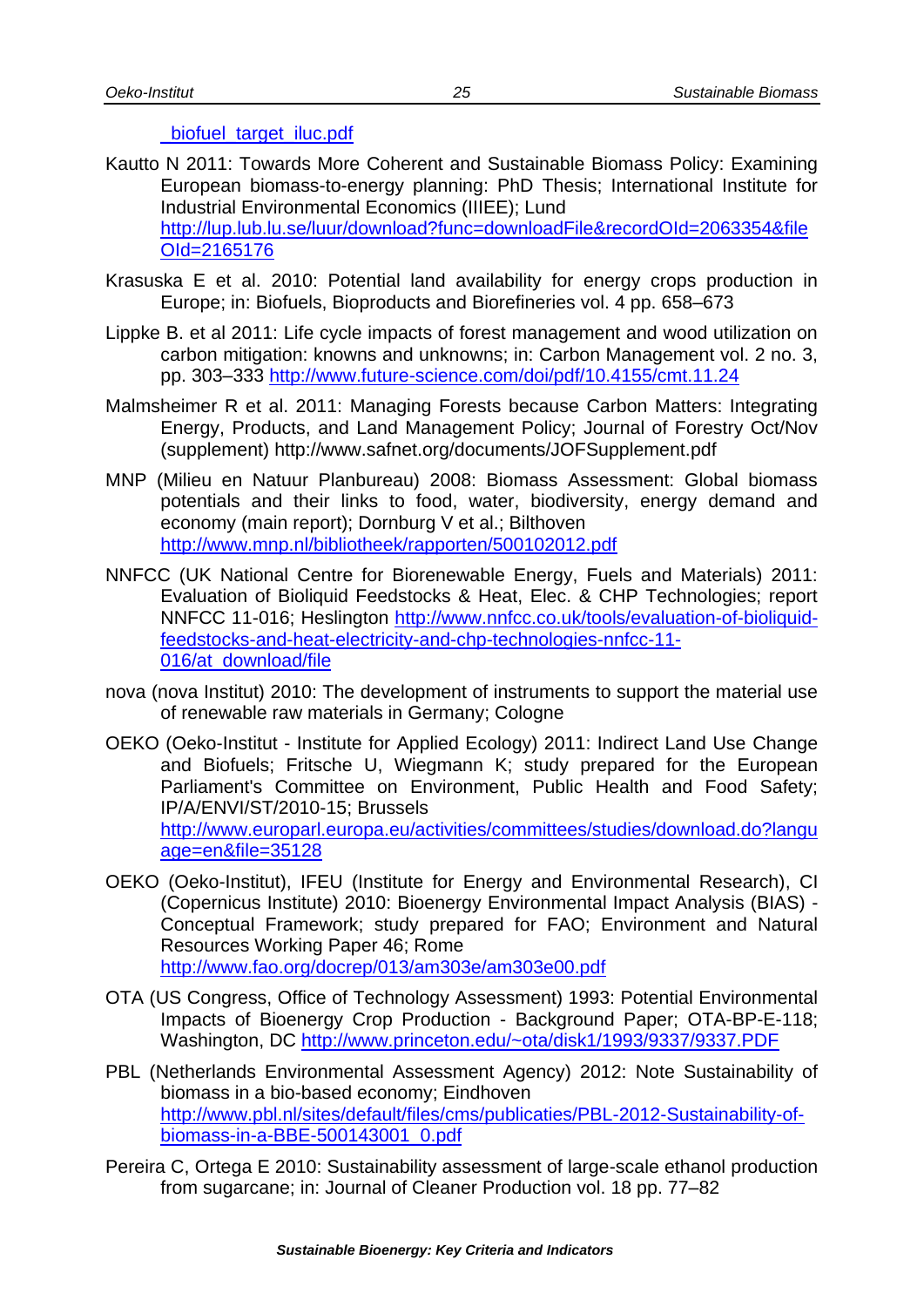#### biofuel target iluc.pdf

- Kautto N 2011: Towards More Coherent and Sustainable Biomass Policy: Examining European biomass-to-energy planning: PhD Thesis; International Institute for Industrial Environmental Economics (IIIEE); Lund [http://lup.lub.lu.se/luur/download?func=downloadFile&recordOId=2063354&file](http://lup.lub.lu.se/luur/download?func=downloadFile&recordOId=2063354&fileOId=2165176) [OId=2165176](http://lup.lub.lu.se/luur/download?func=downloadFile&recordOId=2063354&fileOId=2165176)
- Krasuska E et al. 2010: Potential land availability for energy crops production in Europe; in: Biofuels, Bioproducts and Biorefineries vol. 4 pp. 658–673
- Lippke B. et al 2011: Life cycle impacts of forest management and wood utilization on carbon mitigation: knowns and unknowns; in: Carbon Management vol. 2 no. 3, pp. 303–333<http://www.future-science.com/doi/pdf/10.4155/cmt.11.24>
- Malmsheimer R et al. 2011: Managing Forests because Carbon Matters: Integrating Energy, Products, and Land Management Policy; Journal of Forestry Oct/Nov (supplement)<http://www.safnet.org/documents/JOFSupplement.pdf>
- MNP (Milieu en Natuur Planbureau) 2008: Biomass Assessment: Global biomass potentials and their links to food, water, biodiversity, energy demand and economy (main report); Dornburg V et al.; Bilthoven <http://www.mnp.nl/bibliotheek/rapporten/500102012.pdf>
- NNFCC (UK National Centre for Biorenewable Energy, Fuels and Materials) 2011: Evaluation of Bioliquid Feedstocks & Heat, Elec. & CHP Technologies; report NNFCC 11-016; Heslington [http://www.nnfcc.co.uk/tools/evaluation-of-bioliquid](http://www.nnfcc.co.uk/tools/evaluation-of-bioliquid-feedstocks-and-heat-electricity-and-chp-technologies-nnfcc-11-016/at_download/file)[feedstocks-and-heat-electricity-and-chp-technologies-nnfcc-11-](http://www.nnfcc.co.uk/tools/evaluation-of-bioliquid-feedstocks-and-heat-electricity-and-chp-technologies-nnfcc-11-016/at_download/file) [016/at\\_download/file](http://www.nnfcc.co.uk/tools/evaluation-of-bioliquid-feedstocks-and-heat-electricity-and-chp-technologies-nnfcc-11-016/at_download/file)
- nova (nova Institut) 2010: The development of instruments to support the material use of renewable raw materials in Germany; Cologne
- OEKO (Oeko-Institut Institute for Applied Ecology) 2011: Indirect Land Use Change and Biofuels; Fritsche U, Wiegmann K; study prepared for the European Parliament's Committee on Environment, Public Health and Food Safety; IP/A/ENVI/ST/2010-15; Brussels [http://www.europarl.europa.eu/activities/committees/studies/download.do?langu](http://www.europarl.europa.eu/activities/committees/studies/download.do?language=en&file=35128) [age=en&file=35128](http://www.europarl.europa.eu/activities/committees/studies/download.do?language=en&file=35128)
- OEKO (Oeko-Institut), IFEU (Institute for Energy and Environmental Research), CI (Copernicus Institute) 2010: Bioenergy Environmental Impact Analysis (BIAS) - Conceptual Framework; study prepared for FAO; Environment and Natural Resources Working Paper 46; Rome <http://www.fao.org/docrep/013/am303e/am303e00.pdf>
- OTA (US Congress, Office of Technology Assessment) 1993: Potential Environmental Impacts of Bioenergy Crop Production - Background Paper; OTA-BP-E-118; Washington, DC<http://www.princeton.edu/~ota/disk1/1993/9337/9337.PDF>
- PBL (Netherlands Environmental Assessment Agency) 2012: Note Sustainability of biomass in a bio-based economy; Eindhoven [http://www.pbl.nl/sites/default/files/cms/publicaties/PBL-2012-Sustainability-of](http://www.pbl.nl/sites/default/files/cms/publicaties/PBL-2012-Sustainability-of-biomass-in-a-BBE-500143001_0.pdf)[biomass-in-a-BBE-500143001\\_0.pdf](http://www.pbl.nl/sites/default/files/cms/publicaties/PBL-2012-Sustainability-of-biomass-in-a-BBE-500143001_0.pdf)
- Pereira C, Ortega E 2010: Sustainability assessment of large-scale ethanol production from sugarcane; in: Journal of Cleaner Production vol. 18 pp. 77–82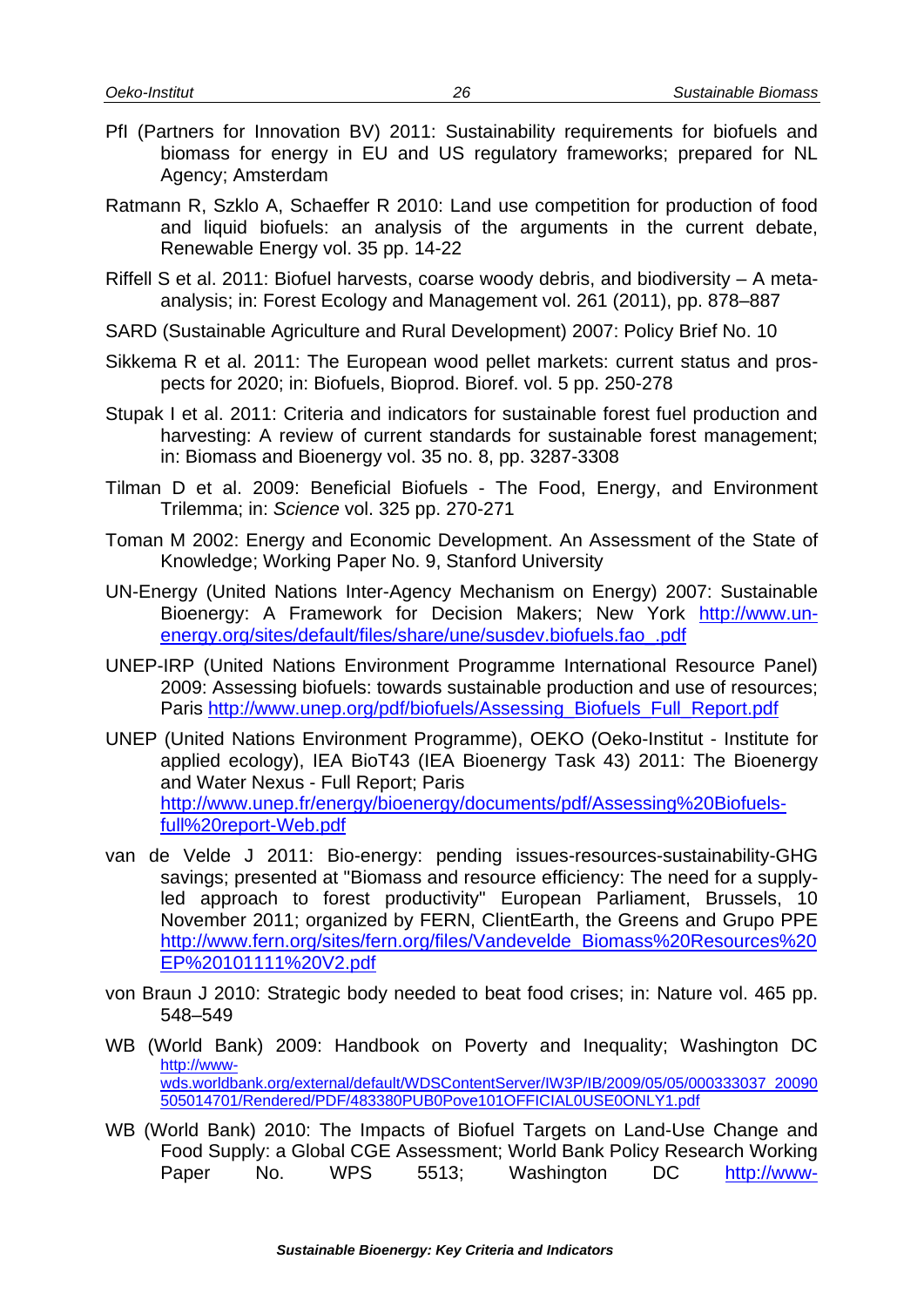- PfI (Partners for Innovation BV) 2011: Sustainability requirements for biofuels and biomass for energy in EU and US regulatory frameworks; prepared for NL Agency; Amsterdam
- Ratmann R, Szklo A, Schaeffer R 2010: Land use competition for production of food and liquid biofuels: an analysis of the arguments in the current debate, Renewable Energy vol. 35 pp. 14-22
- Riffell S et al. 2011: Biofuel harvests, coarse woody debris, and biodiversity A metaanalysis; in: Forest Ecology and Management vol. 261 (2011), pp. 878–887
- SARD (Sustainable Agriculture and Rural Development) 2007: Policy Brief No. 10
- Sikkema R et al. 2011: The European wood pellet markets: current status and prospects for 2020; in: Biofuels, Bioprod. Bioref. vol. 5 pp. 250-278
- Stupak I et al. 2011: Criteria and indicators for sustainable forest fuel production and harvesting: A review of current standards for sustainable forest management; in: Biomass and Bioenergy vol. 35 no. 8, pp. 3287-3308
- Tilman D et al. 2009: Beneficial Biofuels The Food, Energy, and Environment Trilemma; in: *Science* vol. 325 pp. 270-271
- Toman M 2002: Energy and Economic Development. An Assessment of the State of Knowledge; Working Paper No. 9, Stanford University
- UN-Energy (United Nations Inter-Agency Mechanism on Energy) 2007: Sustainable Bioenergy: A Framework for Decision Makers; New York [http://www.un](http://www.un-energy.org/sites/default/files/share/une/susdev.biofuels.fao_.pdf)[energy.org/sites/default/files/share/une/susdev.biofuels.fao\\_.pdf](http://www.un-energy.org/sites/default/files/share/une/susdev.biofuels.fao_.pdf)
- UNEP-IRP (United Nations Environment Programme International Resource Panel) 2009: Assessing biofuels: towards sustainable production and use of resources; Paris [http://www.unep.org/pdf/biofuels/Assessing\\_Biofuels\\_Full\\_Report.pdf](http://www.unep.org/pdf/biofuels/Assessing_Biofuels_Full_Report.pdf)
- UNEP (United Nations Environment Programme), OEKO (Oeko-Institut Institute for applied ecology), IEA BioT43 (IEA Bioenergy Task 43) 2011: The Bioenergy and Water Nexus - Full Report; Paris [http://www.unep.fr/energy/bioenergy/documents/pdf/Assessing%20Biofuels](http://www.unep.fr/energy/bioenergy/documents/pdf/Assessing%20Biofuels-full%20report-Web.pdf)[full%20report-Web.pdf](http://www.unep.fr/energy/bioenergy/documents/pdf/Assessing%20Biofuels-full%20report-Web.pdf)
- van de Velde J 2011: Bio-energy: pending issues-resources-sustainability-GHG savings; presented at "Biomass and resource efficiency: The need for a supplyled approach to forest productivity" European Parliament, Brussels, 10 November 2011; organized by FERN, ClientEarth, the Greens and Grupo PPE [http://www.fern.org/sites/fern.org/files/Vandevelde\\_Biomass%20Resources%20](http://www.fern.org/sites/fern.org/files/Vandevelde_Biomass%20Resources%20EP%20101111%20V2.pdf) [EP%20101111%20V2.pdf](http://www.fern.org/sites/fern.org/files/Vandevelde_Biomass%20Resources%20EP%20101111%20V2.pdf)
- von Braun J 2010: Strategic body needed to beat food crises; in: Nature vol. 465 pp. 548–549
- WB (World Bank) 2009: Handbook on Poverty and Inequality; Washington DC [http://www](http://www-wds.worldbank.org/external/default/WDSContentServer/IW3P/IB/2009/05/05/000333037_20090505014701/Rendered/PDF/483380PUB0Pove101OFFICIAL0USE0ONLY1.pdf)[wds.worldbank.org/external/default/WDSContentServer/IW3P/IB/2009/05/05/000333037\\_20090](http://www-wds.worldbank.org/external/default/WDSContentServer/IW3P/IB/2009/05/05/000333037_20090505014701/Rendered/PDF/483380PUB0Pove101OFFICIAL0USE0ONLY1.pdf) [505014701/Rendered/PDF/483380PUB0Pove101OFFICIAL0USE0ONLY1.pdf](http://www-wds.worldbank.org/external/default/WDSContentServer/IW3P/IB/2009/05/05/000333037_20090505014701/Rendered/PDF/483380PUB0Pove101OFFICIAL0USE0ONLY1.pdf)
- WB (World Bank) 2010: The Impacts of Biofuel Targets on Land-Use Change and Food Supply: a Global CGE Assessment; World Bank Policy Research Working Paper No. WPS 5513; Washington DC [http://www-](http://www-wds.worldbank.org/external/default/WDSContentServer/IW3P/IB/2010/12/30/000158349_20101230134933/Rendered/PDF/WPS5513.pdf)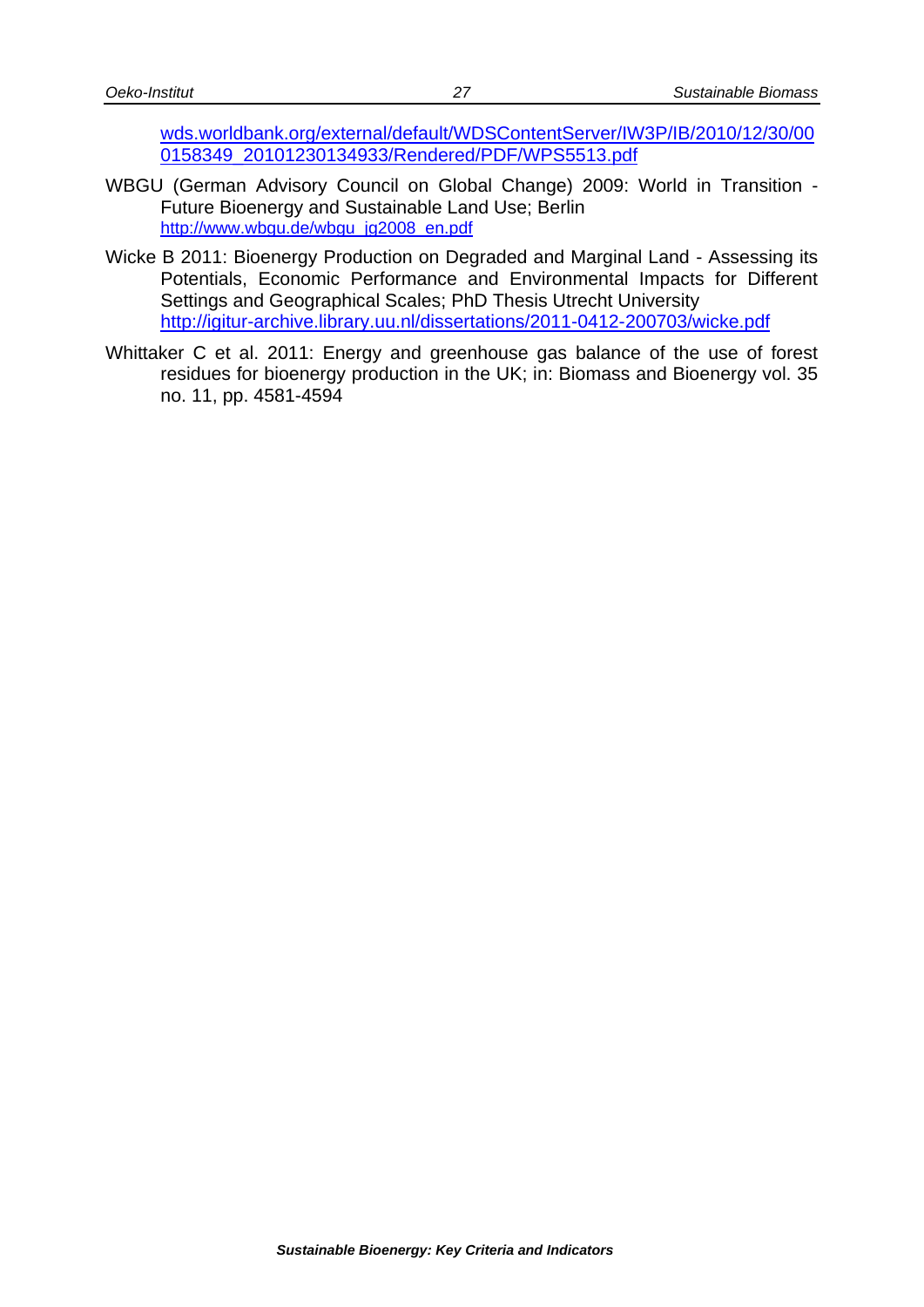[wds.worldbank.org/external/default/WDSContentServer/IW3P/IB/2010/12/30/00](http://www-wds.worldbank.org/external/default/WDSContentServer/IW3P/IB/2010/12/30/000158349_20101230134933/Rendered/PDF/WPS5513.pdf) [0158349\\_20101230134933/Rendered/PDF/WPS5513.pdf](http://www-wds.worldbank.org/external/default/WDSContentServer/IW3P/IB/2010/12/30/000158349_20101230134933/Rendered/PDF/WPS5513.pdf)

- WBGU (German Advisory Council on Global Change) 2009: World in Transition Future Bioenergy and Sustainable Land Use; Berlin [http://www.wbgu.de/wbgu\\_jg2008\\_en.pdf](http://www.wbgu.de/wbgu_jg2008_en.pdf)
- Wicke B 2011: Bioenergy Production on Degraded and Marginal Land Assessing its Potentials, Economic Performance and Environmental Impacts for Different Settings and Geographical Scales; PhD Thesis Utrecht University <http://igitur-archive.library.uu.nl/dissertations/2011-0412-200703/wicke.pdf>
- Whittaker C et al. 2011: Energy and greenhouse gas balance of the use of forest residues for bioenergy production in the UK; in: Biomass and Bioenergy vol. 35 no. 11, pp. 4581-4594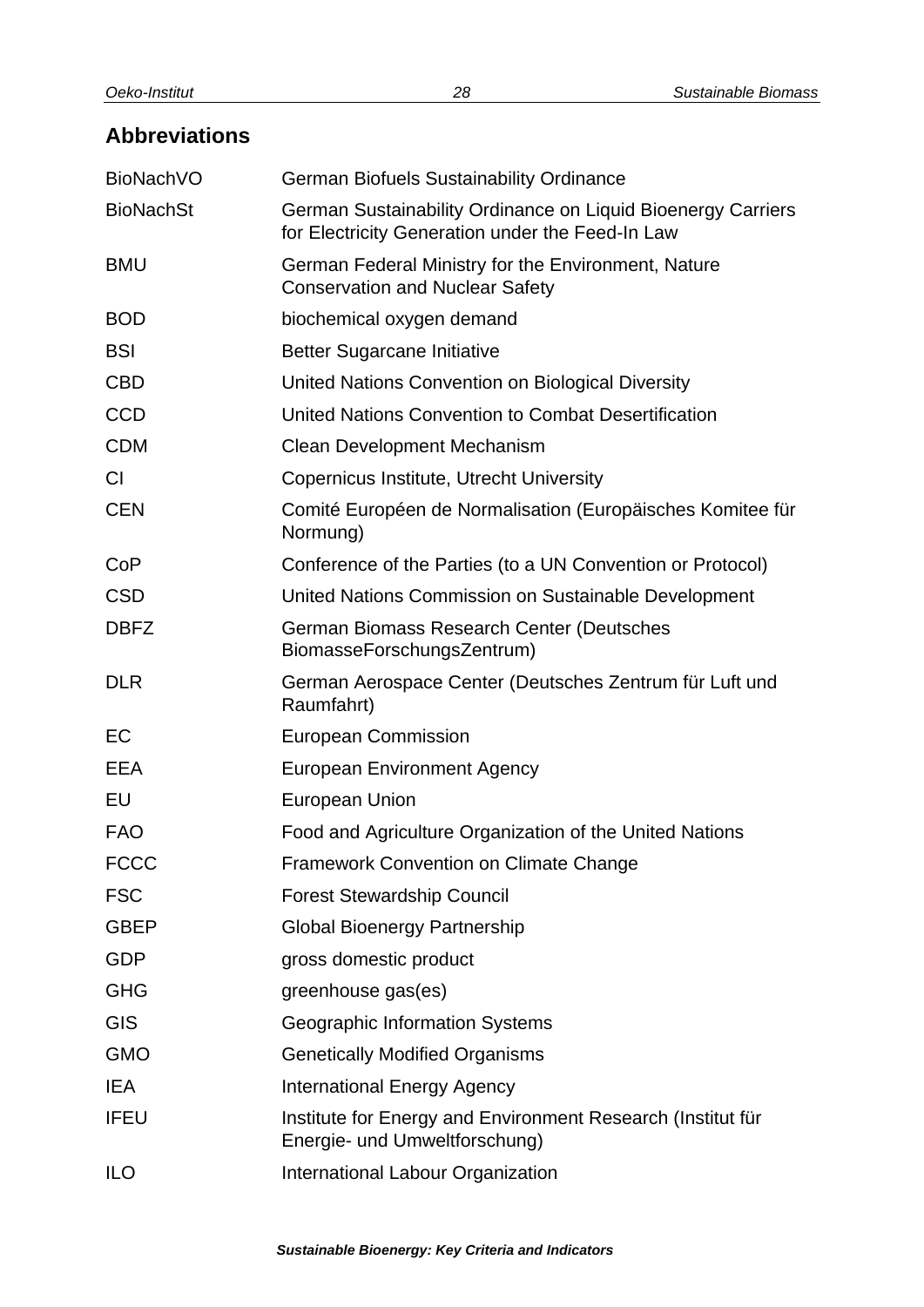# <span id="page-31-0"></span>**Abbreviations**

| <b>BioNachVO</b> | <b>German Biofuels Sustainability Ordinance</b>                                                                  |
|------------------|------------------------------------------------------------------------------------------------------------------|
| <b>BioNachSt</b> | German Sustainability Ordinance on Liquid Bioenergy Carriers<br>for Electricity Generation under the Feed-In Law |
| <b>BMU</b>       | German Federal Ministry for the Environment, Nature<br><b>Conservation and Nuclear Safety</b>                    |
| <b>BOD</b>       | biochemical oxygen demand                                                                                        |
| <b>BSI</b>       | <b>Better Sugarcane Initiative</b>                                                                               |
| <b>CBD</b>       | United Nations Convention on Biological Diversity                                                                |
| <b>CCD</b>       | United Nations Convention to Combat Desertification                                                              |
| <b>CDM</b>       | <b>Clean Development Mechanism</b>                                                                               |
| <b>CI</b>        | Copernicus Institute, Utrecht University                                                                         |
| <b>CEN</b>       | Comité Européen de Normalisation (Europäisches Komitee für<br>Normung)                                           |
| CoP              | Conference of the Parties (to a UN Convention or Protocol)                                                       |
| <b>CSD</b>       | United Nations Commission on Sustainable Development                                                             |
| <b>DBFZ</b>      | German Biomass Research Center (Deutsches<br>BiomasseForschungsZentrum)                                          |
| <b>DLR</b>       | German Aerospace Center (Deutsches Zentrum für Luft und<br>Raumfahrt)                                            |
| EC               | <b>European Commission</b>                                                                                       |
| <b>EEA</b>       | <b>European Environment Agency</b>                                                                               |
| EU               | <b>European Union</b>                                                                                            |
| <b>FAO</b>       | Food and Agriculture Organization of the United Nations                                                          |
| <b>FCCC</b>      | <b>Framework Convention on Climate Change</b>                                                                    |
| <b>FSC</b>       | <b>Forest Stewardship Council</b>                                                                                |
| <b>GBEP</b>      | <b>Global Bioenergy Partnership</b>                                                                              |
| <b>GDP</b>       | gross domestic product                                                                                           |
| <b>GHG</b>       | greenhouse gas(es)                                                                                               |
| <b>GIS</b>       | Geographic Information Systems                                                                                   |
| <b>GMO</b>       | <b>Genetically Modified Organisms</b>                                                                            |
| <b>IEA</b>       | <b>International Energy Agency</b>                                                                               |
| <b>IFEU</b>      | Institute for Energy and Environment Research (Institut für<br>Energie- und Umweltforschung)                     |
| <b>ILO</b>       | International Labour Organization                                                                                |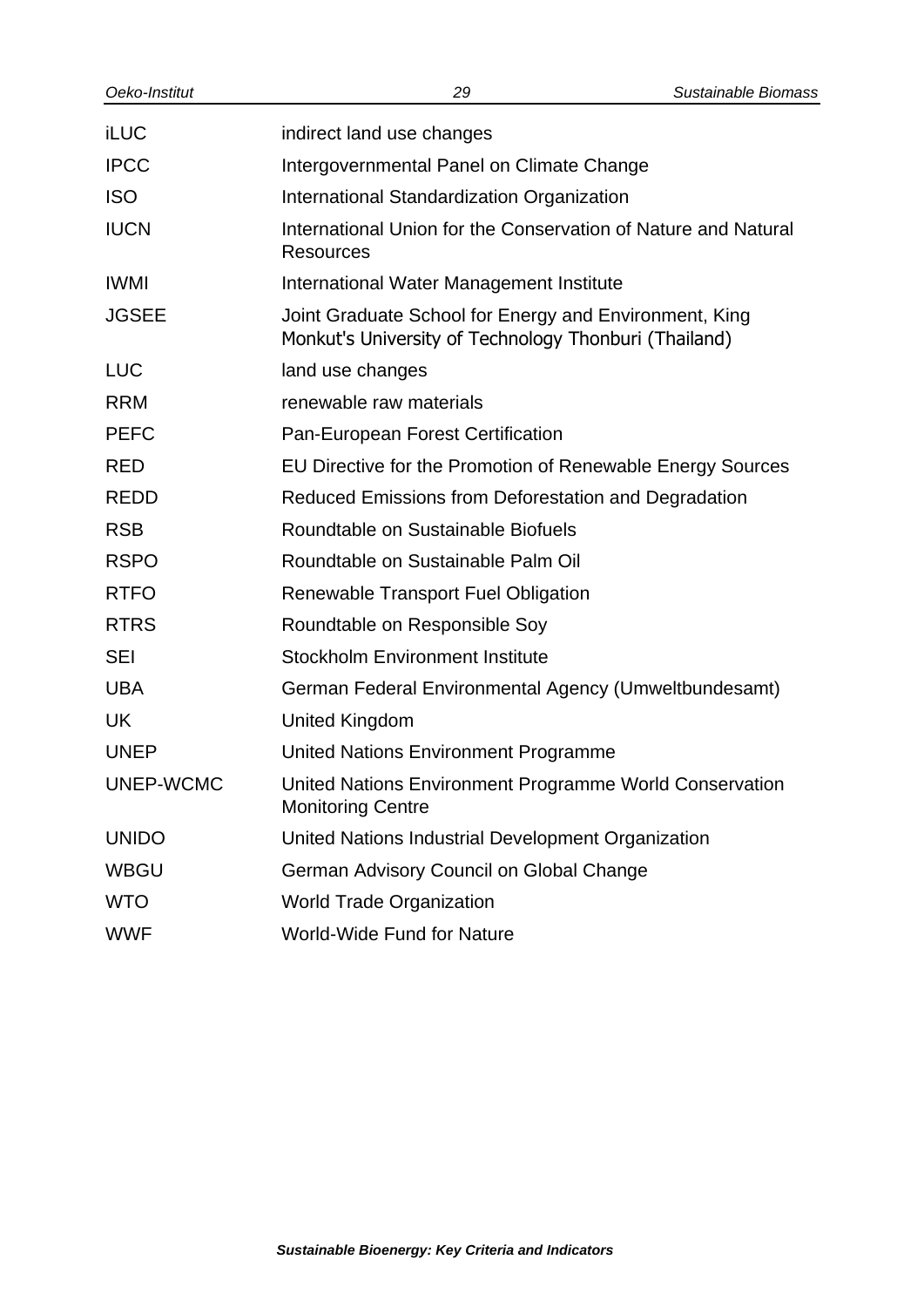| Oeko-Institut | 29                                                                                                              | Sustainable Biomass |
|---------------|-----------------------------------------------------------------------------------------------------------------|---------------------|
| <b>iLUC</b>   | indirect land use changes                                                                                       |                     |
| <b>IPCC</b>   | Intergovernmental Panel on Climate Change                                                                       |                     |
| <b>ISO</b>    | International Standardization Organization                                                                      |                     |
| <b>IUCN</b>   | International Union for the Conservation of Nature and Natural<br><b>Resources</b>                              |                     |
| <b>IWMI</b>   | International Water Management Institute                                                                        |                     |
| <b>JGSEE</b>  | Joint Graduate School for Energy and Environment, King<br>Monkut's University of Technology Thonburi (Thailand) |                     |
| <b>LUC</b>    | land use changes                                                                                                |                     |
| <b>RRM</b>    | renewable raw materials                                                                                         |                     |
| <b>PEFC</b>   | Pan-European Forest Certification                                                                               |                     |
| <b>RED</b>    | EU Directive for the Promotion of Renewable Energy Sources                                                      |                     |
| <b>REDD</b>   | Reduced Emissions from Deforestation and Degradation                                                            |                     |
| <b>RSB</b>    | Roundtable on Sustainable Biofuels                                                                              |                     |
| <b>RSPO</b>   | Roundtable on Sustainable Palm Oil                                                                              |                     |
| <b>RTFO</b>   | <b>Renewable Transport Fuel Obligation</b>                                                                      |                     |
| <b>RTRS</b>   | Roundtable on Responsible Soy                                                                                   |                     |
| SEI           | <b>Stockholm Environment Institute</b>                                                                          |                     |
| <b>UBA</b>    | German Federal Environmental Agency (Umweltbundesamt)                                                           |                     |
| <b>UK</b>     | <b>United Kingdom</b>                                                                                           |                     |
| <b>UNEP</b>   | United Nations Environment Programme                                                                            |                     |
| UNEP-WCMC     | United Nations Environment Programme World Conservation<br><b>Monitoring Centre</b>                             |                     |
| <b>UNIDO</b>  | United Nations Industrial Development Organization                                                              |                     |
| <b>WBGU</b>   | German Advisory Council on Global Change                                                                        |                     |
| <b>WTO</b>    | <b>World Trade Organization</b>                                                                                 |                     |
| <b>WWF</b>    | <b>World-Wide Fund for Nature</b>                                                                               |                     |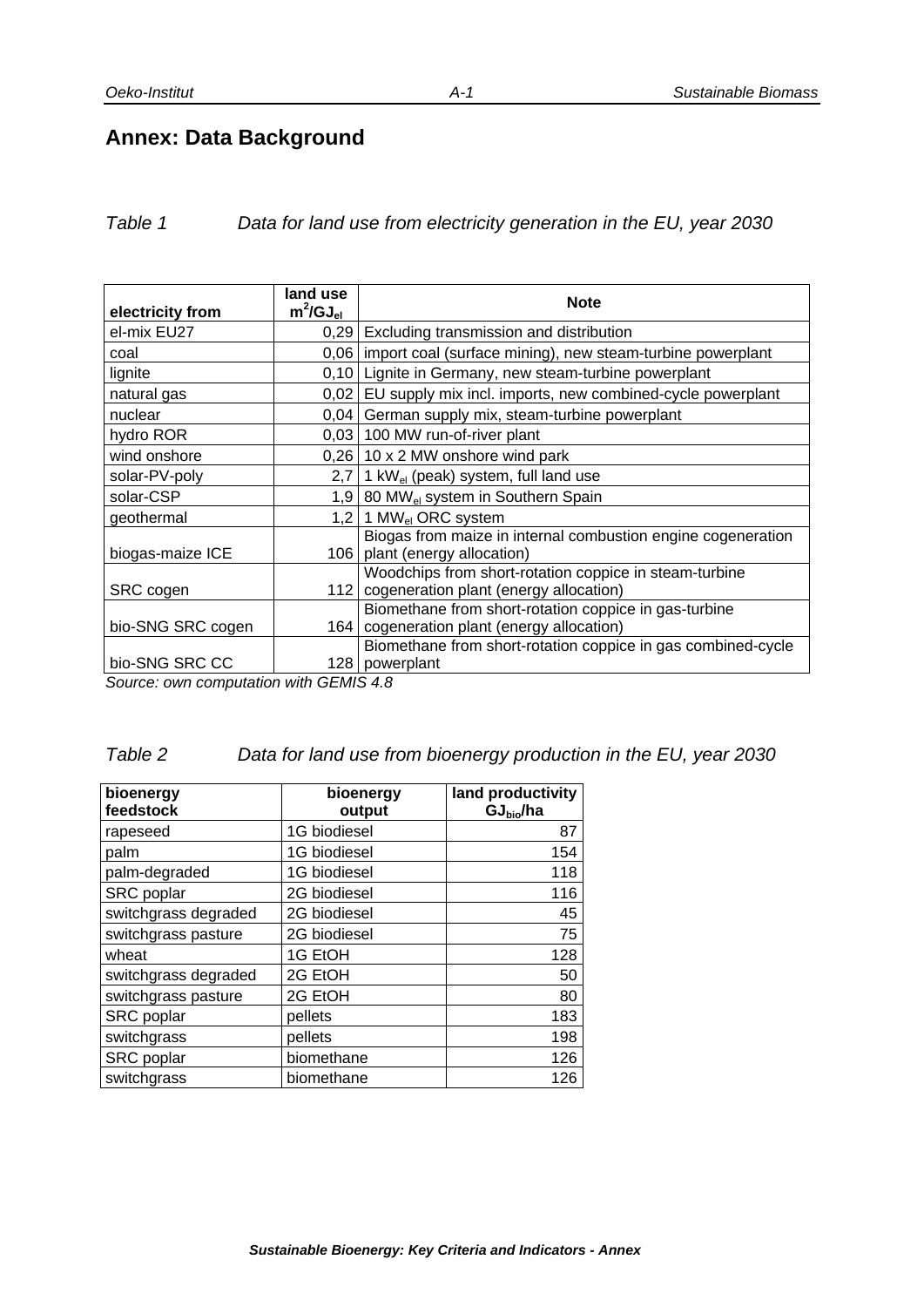# <span id="page-34-0"></span>**Annex: Data Background**

| Data for land use from electricity generation in the EU, year 2030 | Table 1 |  |  |  |
|--------------------------------------------------------------------|---------|--|--|--|
|--------------------------------------------------------------------|---------|--|--|--|

| electricity from                                            | land use<br>$m^2$ /GJ $_{el}$                                                             | <b>Note</b>                                                                                            |  |
|-------------------------------------------------------------|-------------------------------------------------------------------------------------------|--------------------------------------------------------------------------------------------------------|--|
| el-mix EU27                                                 | 0,29                                                                                      | Excluding transmission and distribution                                                                |  |
| coal                                                        | 0,06                                                                                      | import coal (surface mining), new steam-turbine powerplant                                             |  |
| lignite                                                     |                                                                                           | 0,10 Lignite in Germany, new steam-turbine powerplant                                                  |  |
| natural gas                                                 | 0,02                                                                                      | EU supply mix incl. imports, new combined-cycle powerplant                                             |  |
| nuclear                                                     |                                                                                           | 0,04 German supply mix, steam-turbine powerplant                                                       |  |
| hydro ROR                                                   |                                                                                           | 0,03   100 MW run-of-river plant                                                                       |  |
| wind onshore                                                |                                                                                           | $0,26$   10 x 2 MW onshore wind park                                                                   |  |
| solar-PV-poly                                               |                                                                                           | 2,7   1 kW <sub>el</sub> (peak) system, full land use                                                  |  |
| solar-CSP                                                   |                                                                                           | 1,9 80 MW <sub>el</sub> system in Southern Spain                                                       |  |
| geothermal                                                  |                                                                                           | 1,2 1 MW <sub>el</sub> ORC system                                                                      |  |
| biogas-maize ICE                                            |                                                                                           | Biogas from maize in internal combustion engine cogeneration<br>106   plant (energy allocation)        |  |
| SRC cogen                                                   |                                                                                           | Woodchips from short-rotation coppice in steam-turbine<br>112   cogeneration plant (energy allocation) |  |
| bio-SNG SRC cogen                                           |                                                                                           | Biomethane from short-rotation coppice in gas-turbine<br>164   cogeneration plant (energy allocation)  |  |
| bio-SNG SRC CC<br>$\sim$ $\sim$ $\sim$ $\sim$ $\sim$ $\sim$ | $\overline{a}$ $\overline{a}$ $\overline{a}$ $\overline{a}$ $\overline{a}$ $\overline{a}$ | Biomethane from short-rotation coppice in gas combined-cycle<br>128   powerplant                       |  |

*Source: own computation with GEMIS 4.8*

#### *Table 2 Data for land use from bioenergy production in the EU, year 2030*

| bioenergy            | bioenergy    | land productivity     |
|----------------------|--------------|-----------------------|
| feedstock            | output       | GJ <sub>bio</sub> /ha |
| rapeseed             | 1G biodiesel | 87                    |
| palm                 | 1G biodiesel | 154                   |
| palm-degraded        | 1G biodiesel | 118                   |
| SRC poplar           | 2G biodiesel | 116                   |
| switchgrass degraded | 2G biodiesel | 45                    |
| switchgrass pasture  | 2G biodiesel | 75                    |
| wheat                | 1G EtOH      | 128                   |
| switchgrass degraded | 2G EtOH      | 50                    |
| switchgrass pasture  | 2G EtOH      | 80                    |
| SRC poplar           | pellets      | 183                   |
| switchgrass          | pellets      | 198                   |
| SRC poplar           | biomethane   | 126                   |
| switchgrass          | biomethane   | 126                   |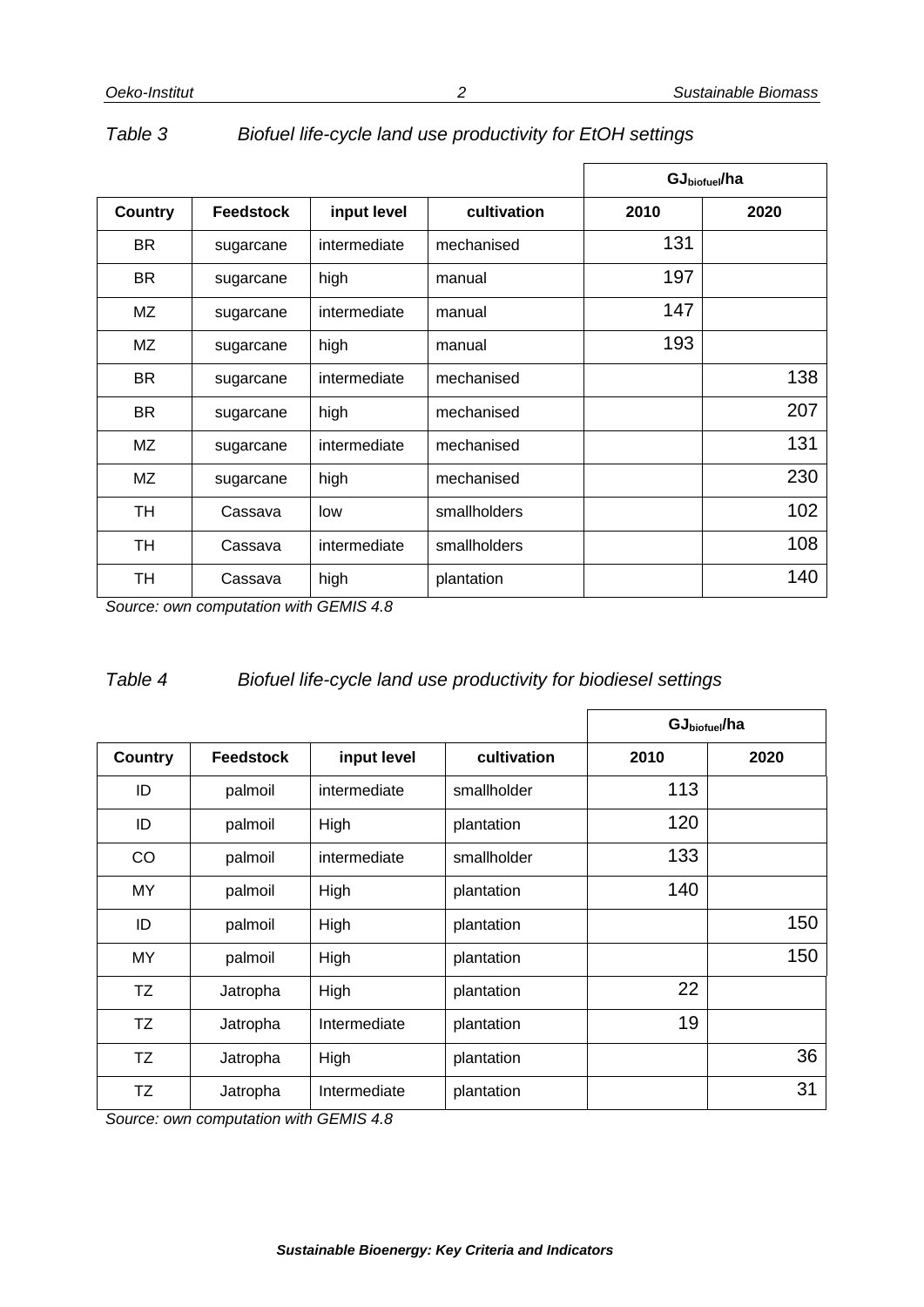|           |                  |              |              |      | GJ <sub>biofuel</sub> /ha |  |
|-----------|------------------|--------------|--------------|------|---------------------------|--|
| Country   | <b>Feedstock</b> | input level  | cultivation  | 2010 | 2020                      |  |
| BR.       | sugarcane        | intermediate | mechanised   | 131  |                           |  |
| <b>BR</b> | sugarcane        | high         | manual       | 197  |                           |  |
| ΜZ        | sugarcane        | intermediate | manual       | 147  |                           |  |
| ΜZ        | sugarcane        | high         | manual       | 193  |                           |  |
| BR.       | sugarcane        | intermediate | mechanised   |      | 138                       |  |
| BR.       | sugarcane        | high         | mechanised   |      | 207                       |  |
| MZ        | sugarcane        | intermediate | mechanised   |      | 131                       |  |
| MZ        | sugarcane        | high         | mechanised   |      | 230                       |  |
| <b>TH</b> | Cassava          | low          | smallholders |      | 102                       |  |
| <b>TH</b> | Cassava          | intermediate | smallholders |      | 108                       |  |
| TH        | Cassava          | high         | plantation   |      | 140                       |  |

#### *Table 3 Biofuel life-cycle land use productivity for EtOH settings*

*Source: own computation with GEMIS 4.8*

# *Table 4 Biofuel life-cycle land use productivity for biodiesel settings*

|                |                  |              |             | GJ <sub>biofuel</sub> /ha |      |
|----------------|------------------|--------------|-------------|---------------------------|------|
| <b>Country</b> | <b>Feedstock</b> | input level  | cultivation | 2010                      | 2020 |
| ID             | palmoil          | intermediate | smallholder | 113                       |      |
| ID             | palmoil          | High         | plantation  | 120                       |      |
| CO.            | palmoil          | intermediate | smallholder | 133                       |      |
| MY.            | palmoil          | High         | plantation  | 140                       |      |
| ID             | palmoil          | High         | plantation  |                           | 150  |
| ΜY             | palmoil          | High         | plantation  |                           | 150  |
| TZ             | Jatropha         | High         | plantation  | 22                        |      |
| <b>TZ</b>      | Jatropha         | Intermediate | plantation  | 19                        |      |
| TZ             | Jatropha         | High         | plantation  |                           | 36   |
| TZ             | Jatropha         | Intermediate | plantation  |                           | 31   |

*Source: own computation with GEMIS 4.8*

*2*